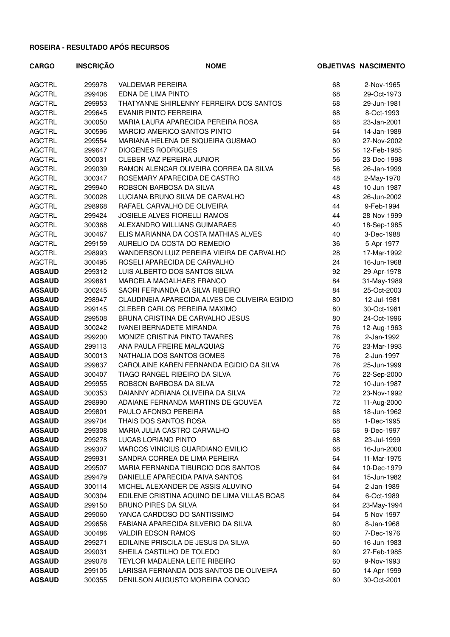| <b>CARGO</b>  | <b>INSCRIÇÃO</b> | <b>NOME</b>                                   |    | <b>OBJETIVAS NASCIMENTO</b> |
|---------------|------------------|-----------------------------------------------|----|-----------------------------|
| <b>AGCTRL</b> | 299978           | <b>VALDEMAR PEREIRA</b>                       | 68 | 2-Nov-1965                  |
| <b>AGCTRL</b> | 299406           | EDNA DE LIMA PINTO                            | 68 | 29-Oct-1973                 |
| <b>AGCTRL</b> | 299953           | THATYANNE SHIRLENNY FERREIRA DOS SANTOS       | 68 | 29-Jun-1981                 |
| <b>AGCTRL</b> | 299645           | <b>EVANIR PINTO FERREIRA</b>                  | 68 | 8-Oct-1993                  |
| <b>AGCTRL</b> | 300050           | MARIA LAURA APARECIDA PEREIRA ROSA            | 68 | 23-Jan-2001                 |
| <b>AGCTRL</b> | 300596           | MARCIO AMERICO SANTOS PINTO                   | 64 | 14-Jan-1989                 |
| <b>AGCTRL</b> | 299554           | MARIANA HELENA DE SIQUEIRA GUSMAO             | 60 | 27-Nov-2002                 |
| <b>AGCTRL</b> | 299647           | <b>DIOGENES RODRIGUES</b>                     | 56 | 12-Feb-1985                 |
| <b>AGCTRL</b> | 300031           | CLEBER VAZ PEREIRA JUNIOR                     | 56 | 23-Dec-1998                 |
| <b>AGCTRL</b> | 299039           | RAMON ALENCAR OLIVEIRA CORREA DA SILVA        | 56 | 26-Jan-1999                 |
| <b>AGCTRL</b> | 300347           | ROSEMARY APARECIDA DE CASTRO                  | 48 | 2-May-1970                  |
| <b>AGCTRL</b> | 299940           | ROBSON BARBOSA DA SILVA                       | 48 | 10-Jun-1987                 |
| <b>AGCTRL</b> | 300028           | LUCIANA BRUNO SILVA DE CARVALHO               | 48 | 26-Jun-2002                 |
| <b>AGCTRL</b> | 298968           | RAFAEL CARVALHO DE OLIVEIRA                   | 44 | 9-Feb-1994                  |
| <b>AGCTRL</b> | 299424           | <b>JOSIELE ALVES FIORELLI RAMOS</b>           | 44 | 28-Nov-1999                 |
| <b>AGCTRL</b> | 300368           | ALEXANDRO WILLIANS GUIMARAES                  | 40 | 18-Sep-1985                 |
| <b>AGCTRL</b> | 300467           | ELIS MARIANNA DA COSTA MATHIAS ALVES          | 40 | 3-Dec-1988                  |
| <b>AGCTRL</b> | 299159           | AURELIO DA COSTA DO REMEDIO                   | 36 | 5-Apr-1977                  |
| <b>AGCTRL</b> | 298993           | WANDERSON LUIZ PEREIRA VIEIRA DE CARVALHO     | 28 | 17-Mar-1992                 |
| <b>AGCTRL</b> | 300495           | ROSELI APARECIDA DE CARVALHO                  | 24 | 16-Jun-1968                 |
| <b>AGSAUD</b> | 299312           | LUIS ALBERTO DOS SANTOS SILVA                 | 92 | 29-Apr-1978                 |
| <b>AGSAUD</b> | 299861           | MARCELA MAGALHAES FRANCO                      | 84 | 31-May-1989                 |
| <b>AGSAUD</b> | 300245           | SAORI FERNANDA DA SILVA RIBEIRO               | 84 | 25-Oct-2003                 |
| <b>AGSAUD</b> | 298947           | CLAUDINEIA APARECIDA ALVES DE OLIVEIRA EGIDIO | 80 | 12-Jul-1981                 |
| <b>AGSAUD</b> | 299145           | <b>CLEBER CARLOS PEREIRA MAXIMO</b>           | 80 | 30-Oct-1981                 |
| <b>AGSAUD</b> | 299508           | BRUNA CRISTINA DE CARVALHO JESUS              | 80 | 24-Oct-1996                 |
| <b>AGSAUD</b> | 300242           | <b>IVANEI BERNADETE MIRANDA</b>               | 76 | 12-Aug-1963                 |
| <b>AGSAUD</b> | 299200           | MONIZE CRISTINA PINTO TAVARES                 | 76 | 2-Jan-1992                  |
| <b>AGSAUD</b> | 299113           | ANA PAULA FREIRE MALAQUIAS                    | 76 | 23-Mar-1993                 |
| <b>AGSAUD</b> | 300013           | NATHALIA DOS SANTOS GOMES                     | 76 | 2-Jun-1997                  |
| <b>AGSAUD</b> | 299837           | CAROLAINE KAREN FERNANDA EGIDIO DA SILVA      | 76 | 25-Jun-1999                 |
| <b>AGSAUD</b> | 300407           | TIAGO RANGEL RIBEIRO DA SILVA                 | 76 | 22-Sep-2000                 |
| <b>AGSAUD</b> | 299955           | ROBSON BARBOSA DA SILVA                       | 72 | 10-Jun-1987                 |
| <b>AGSAUD</b> | 300353           | DAIANNY ADRIANA OLIVEIRA DA SILVA             | 72 | 23-Nov-1992                 |
| <b>AGSAUD</b> | 298990           | ADAIANE FERNANDA MARTINS DE GOUVEA            | 72 | 11-Aug-2000                 |
| <b>AGSAUD</b> | 299801           | PAULO AFONSO PEREIRA                          | 68 | 18-Jun-1962                 |
| <b>AGSAUD</b> | 299704           | THAIS DOS SANTOS ROSA                         | 68 | 1-Dec-1995                  |
| <b>AGSAUD</b> | 299308           | MARIA JULIA CASTRO CARVALHO                   | 68 | 9-Dec-1997                  |
| <b>AGSAUD</b> | 299278           | LUCAS LORIANO PINTO                           | 68 | 23-Jul-1999                 |
| <b>AGSAUD</b> | 299307           | MARCOS VINICIUS GUARDIANO EMILIO              | 68 | 16-Jun-2000                 |
| <b>AGSAUD</b> | 299931           | SANDRA CORREA DE LIMA PEREIRA                 | 64 | 11-Mar-1975                 |
| <b>AGSAUD</b> | 299507           | MARIA FERNANDA TIBURCIO DOS SANTOS            | 64 | 10-Dec-1979                 |
| <b>AGSAUD</b> | 299479           | DANIELLE APARECIDA PAIVA SANTOS               | 64 | 15-Jun-1982                 |
| <b>AGSAUD</b> | 300114           | MICHEL ALEXANDER DE ASSIS ALUVINO             | 64 | 2-Jan-1989                  |
| <b>AGSAUD</b> | 300304           | EDILENE CRISTINA AQUINO DE LIMA VILLAS BOAS   | 64 | 6-Oct-1989                  |
| <b>AGSAUD</b> | 299150           | <b>BRUNO PIRES DA SILVA</b>                   | 64 | 23-May-1994                 |
| <b>AGSAUD</b> | 299060           | YANCA CARDOSO DO SANTISSIMO                   | 64 | 5-Nov-1997                  |
| <b>AGSAUD</b> | 299656           | FABIANA APARECIDA SILVERIO DA SILVA           | 60 | 8-Jan-1968                  |
| <b>AGSAUD</b> | 300486           | <b>VALDIR EDSON RAMOS</b>                     | 60 | 7-Dec-1976                  |
| <b>AGSAUD</b> | 299271           | EDILAINE PRISCILA DE JESUS DA SILVA           | 60 | 16-Jun-1983                 |
| <b>AGSAUD</b> | 299031           | SHEILA CASTILHO DE TOLEDO                     | 60 | 27-Feb-1985                 |
| <b>AGSAUD</b> | 299078           | <b>TEYLOR MADALENA LEITE RIBEIRO</b>          | 60 | 9-Nov-1993                  |
| <b>AGSAUD</b> | 299105           | LARISSA FERNANDA DOS SANTOS DE OLIVEIRA       | 60 | 14-Apr-1999                 |
| <b>AGSAUD</b> | 300355           | DENILSON AUGUSTO MOREIRA CONGO                | 60 | 30-Oct-2001                 |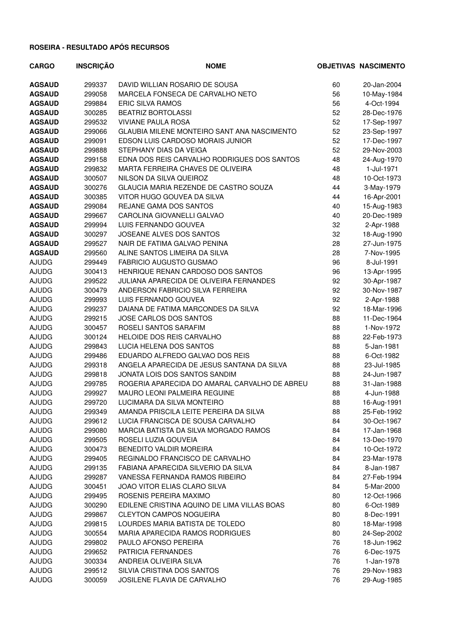| <b>CARGO</b>  | <b>INSCRIÇÃO</b> | <b>NOME</b>                                   |    | <b>OBJETIVAS NASCIMENTO</b> |
|---------------|------------------|-----------------------------------------------|----|-----------------------------|
| <b>AGSAUD</b> | 299337           | DAVID WILLIAN ROSARIO DE SOUSA                | 60 | 20-Jan-2004                 |
| <b>AGSAUD</b> | 299058           | MARCELA FONSECA DE CARVALHO NETO              | 56 | 10-May-1984                 |
| <b>AGSAUD</b> | 299884           | <b>ERIC SILVA RAMOS</b>                       | 56 | 4-Oct-1994                  |
| <b>AGSAUD</b> | 300285           | <b>BEATRIZ BORTOLASSI</b>                     | 52 | 28-Dec-1976                 |
| <b>AGSAUD</b> | 299532           | <b>VIVIANE PAULA ROSA</b>                     | 52 | 17-Sep-1997                 |
| <b>AGSAUD</b> | 299066           | GLAUBIA MILENE MONTEIRO SANT ANA NASCIMENTO   | 52 | 23-Sep-1997                 |
| <b>AGSAUD</b> | 299091           | EDSON LUIS CARDOSO MORAIS JUNIOR              | 52 | 17-Dec-1997                 |
| <b>AGSAUD</b> | 299888           | STEPHANY DIAS DA VEIGA                        | 52 | 29-Nov-2003                 |
| <b>AGSAUD</b> | 299158           | EDNA DOS REIS CARVALHO RODRIGUES DOS SANTOS   | 48 | 24-Aug-1970                 |
| <b>AGSAUD</b> | 299832           | MARTA FERREIRA CHAVES DE OLIVEIRA             | 48 | 1-Jul-1971                  |
| <b>AGSAUD</b> | 300507           | NILSON DA SILVA QUEIROZ                       | 48 | 10-Oct-1973                 |
| <b>AGSAUD</b> | 300276           | GLAUCIA MARIA REZENDE DE CASTRO SOUZA         | 44 | 3-May-1979                  |
| <b>AGSAUD</b> | 300385           | VITOR HUGO GOUVEA DA SILVA                    | 44 | 16-Apr-2001                 |
| <b>AGSAUD</b> | 299084           | REJANE GAMA DOS SANTOS                        | 40 | 15-Aug-1983                 |
| <b>AGSAUD</b> | 299667           | CAROLINA GIOVANELLI GALVAO                    | 40 | 20-Dec-1989                 |
| <b>AGSAUD</b> | 299994           | LUIS FERNANDO GOUVEA                          | 32 | 2-Apr-1988                  |
| <b>AGSAUD</b> | 300297           | JOSEANE ALVES DOS SANTOS                      | 32 | 18-Aug-1990                 |
| <b>AGSAUD</b> | 299527           | NAIR DE FATIMA GALVAO PENINA                  | 28 | 27-Jun-1975                 |
| <b>AGSAUD</b> | 299560           | ALINE SANTOS LIMEIRA DA SILVA                 | 28 | 7-Nov-1995                  |
| <b>AJUDG</b>  | 299449           | FABRICIO AUGUSTO GUSMAO                       | 96 | 8-Jul-1991                  |
| <b>AJUDG</b>  | 300413           | HENRIQUE RENAN CARDOSO DOS SANTOS             | 96 | 13-Apr-1995                 |
| <b>AJUDG</b>  | 299522           | JULIANA APARECIDA DE OLIVEIRA FERNANDES       | 92 | 30-Apr-1987                 |
| <b>AJUDG</b>  | 300479           | ANDERSON FABRICIO SILVA FERREIRA              | 92 | 30-Nov-1987                 |
| <b>AJUDG</b>  | 299993           | LUIS FERNANDO GOUVEA                          | 92 | 2-Apr-1988                  |
| <b>AJUDG</b>  | 299237           | DAIANA DE FATIMA MARCONDES DA SILVA           | 92 | 18-Mar-1996                 |
| <b>AJUDG</b>  | 299215           | JOSE CARLOS DOS SANTOS                        | 88 | 11-Dec-1964                 |
| <b>AJUDG</b>  | 300457           | ROSELI SANTOS SARAFIM                         | 88 | 1-Nov-1972                  |
| <b>AJUDG</b>  | 300124           | HELOIDE DOS REIS CARVALHO                     | 88 | 22-Feb-1973                 |
| <b>AJUDG</b>  | 299843           | LUCIA HELENA DOS SANTOS                       | 88 | 5-Jan-1981                  |
| <b>AJUDG</b>  | 299486           | EDUARDO ALFREDO GALVAO DOS REIS               | 88 | 6-Oct-1982                  |
| <b>AJUDG</b>  | 299318           | ANGELA APARECIDA DE JESUS SANTANA DA SILVA    | 88 | 23-Jul-1985                 |
| <b>AJUDG</b>  | 299818           | JONATA LOIS DOS SANTOS SANDIM                 | 88 | 24-Jun-1987                 |
| <b>AJUDG</b>  | 299785           | ROGERIA APARECIDA DO AMARAL CARVALHO DE ABREU | 88 | 31-Jan-1988                 |
| <b>AJUDG</b>  | 299927           | <b>MAURO LEONI PALMEIRA REGUINE</b>           | 88 | 4-Jun-1988                  |
| <b>AJUDG</b>  | 299720           | LUCIMARA DA SILVA MONTEIRO                    | 88 | 16-Aug-1991                 |
| <b>AJUDG</b>  | 299349           | AMANDA PRISCILA LEITE PEREIRA DA SILVA        | 88 | 25-Feb-1992                 |
| <b>AJUDG</b>  | 299612           | LUCIA FRANCISCA DE SOUSA CARVALHO             | 84 | 30-Oct-1967                 |
| <b>AJUDG</b>  | 299080           | MARCIA BATISTA DA SILVA MORGADO RAMOS         | 84 | 17-Jan-1968                 |
| <b>AJUDG</b>  | 299505           | ROSELI LUZIA GOUVEIA                          | 84 | 13-Dec-1970                 |
| <b>AJUDG</b>  | 300473           | BENEDITO VALDIR MOREIRA                       | 84 | 10-Oct-1972                 |
| <b>AJUDG</b>  | 299405           | REGINALDO FRANCISCO DE CARVALHO               | 84 | 23-Mar-1978                 |
| <b>AJUDG</b>  | 299135           | FABIANA APARECIDA SILVERIO DA SILVA           | 84 | 8-Jan-1987                  |
| <b>AJUDG</b>  | 299287           | VANESSA FERNANDA RAMOS RIBEIRO                | 84 | 27-Feb-1994                 |
| <b>AJUDG</b>  | 300451           | JOAO VITOR ELIAS CLARO SILVA                  | 84 | 5-Mar-2000                  |
| <b>AJUDG</b>  | 299495           | ROSENIS PEREIRA MAXIMO                        | 80 | 12-Oct-1966                 |
| <b>AJUDG</b>  | 300290           | EDILENE CRISTINA AQUINO DE LIMA VILLAS BOAS   | 80 | 6-Oct-1989                  |
| <b>AJUDG</b>  | 299867           | <b>CLEYTON CAMPOS NOGUEIRA</b>                | 80 | 8-Dec-1991                  |
| <b>AJUDG</b>  | 299815           | LOURDES MARIA BATISTA DE TOLEDO               | 80 | 18-Mar-1998                 |
| <b>AJUDG</b>  | 300554           | MARIA APARECIDA RAMOS RODRIGUES               | 80 | 24-Sep-2002                 |
| <b>AJUDG</b>  | 299802           | PAULO AFONSO PEREIRA                          | 76 | 18-Jun-1962                 |
| <b>AJUDG</b>  | 299652           | PATRICIA FERNANDES                            | 76 | 6-Dec-1975                  |
| <b>AJUDG</b>  | 300334           | ANDREIA OLIVEIRA SILVA                        | 76 | 1-Jan-1978                  |
| <b>AJUDG</b>  | 299512           | SILVIA CRISTINA DOS SANTOS                    | 76 | 29-Nov-1983                 |
| <b>AJUDG</b>  | 300059           | JOSILENE FLAVIA DE CARVALHO                   | 76 | 29-Aug-1985                 |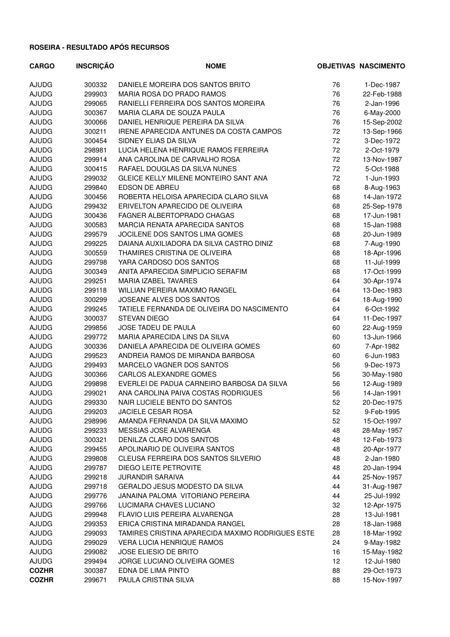| <b>CARGO</b> | <b>INSCRIÇÃO</b> | <b>NOME</b>                                      |    | <b>OBJETIVAS NASCIMENTO</b> |
|--------------|------------------|--------------------------------------------------|----|-----------------------------|
| <b>AJUDG</b> | 300332           | DANIELE MOREIRA DOS SANTOS BRITO                 | 76 | 1-Dec-1987                  |
| <b>AJUDG</b> | 299903           | MARIA ROSA DO PRADO RAMOS                        | 76 | 22-Feb-1988                 |
| <b>AJUDG</b> | 299065           | RANIELLI FERREIRA DOS SANTOS MOREIRA             | 76 | 2-Jan-1996                  |
| <b>AJUDG</b> | 300367           | MARIA CLARA DE SOUZA PAULA                       | 76 | 6-May-2000                  |
| <b>AJUDG</b> | 300066           | DANIEL HENRIQUE PEREIRA DA SILVA                 | 76 | 15-Sep-2002                 |
| <b>AJUDG</b> | 300211           | IRENE APARECIDA ANTUNES DA COSTA CAMPOS          | 72 | 13-Sep-1966                 |
| <b>AJUDG</b> | 300454           | SIDNEY ELIAS DA SILVA                            | 72 | 3-Dec-1972                  |
| <b>AJUDG</b> | 298981           | LUCIA HELENA HENRIQUE RAMOS FERREIRA             | 72 | 2-Oct-1979                  |
| <b>AJUDG</b> | 299914           | ANA CAROLINA DE CARVALHO ROSA                    | 72 | 13-Nov-1987                 |
| <b>AJUDG</b> | 300415           | RAFAEL DOUGLAS DA SILVA NUNES                    | 72 | 5-Oct-1988                  |
| <b>AJUDG</b> | 299032           | GLEICE KELLY MILENE MONTEIRO SANT ANA            | 72 | 1-Jun-1993                  |
| <b>AJUDG</b> | 299840           | EDSON DE ABREU                                   | 68 | 8-Aug-1963                  |
| <b>AJUDG</b> | 300456           | ROBERTA HELOISA APARECIDA CLARO SILVA            | 68 | 14-Jan-1972                 |
| <b>AJUDG</b> | 299432           | ERIVELTON APARECIDO DE OLIVEIRA                  | 68 | 25-Sep-1978                 |
| <b>AJUDG</b> | 300436           | <b>FAGNER ALBERTOPRADO CHAGAS</b>                | 68 | 17-Jun-1981                 |
| <b>AJUDG</b> | 300583           | MARCIA RENATA APARECIDA SANTOS                   | 68 | 15-Jan-1988                 |
| <b>AJUDG</b> | 299579           | JOCILENE DOS SANTOS LIMA GOMES                   | 68 | 20-Jun-1989                 |
| <b>AJUDG</b> | 299225           | DAIANA AUXILIADORA DA SILVA CASTRO DINIZ         | 68 | 7-Aug-1990                  |
| <b>AJUDG</b> | 300559           | THAMIRES CRISTINA DE OLIVEIRA                    | 68 | 18-Apr-1996                 |
| <b>AJUDG</b> | 299798           | YARA CARDOSO DOS SANTOS                          | 68 | 11-Jul-1999                 |
| <b>AJUDG</b> | 300349           | ANITA APARECIDA SIMPLICIO SERAFIM                | 68 | 17-Oct-1999                 |
| <b>AJUDG</b> | 299251           | MARIA IZABEL TAVARES                             | 64 | 30-Apr-1974                 |
| <b>AJUDG</b> | 299118           | WILLIAN PEREIRA MAXIMO RANGEL                    | 64 | 13-Dec-1983                 |
| <b>AJUDG</b> | 300299           | JOSEANE ALVES DOS SANTOS                         | 64 | 18-Aug-1990                 |
| <b>AJUDG</b> | 299245           | TATIELE FERNANDA DE OLIVEIRA DO NASCIMENTO       | 64 | 6-Oct-1992                  |
| <b>AJUDG</b> | 300037           | <b>STEVAN DIEGO</b>                              | 64 | 11-Dec-1997                 |
| <b>AJUDG</b> | 299856           | JOSE TADEU DE PAULA                              | 60 | 22-Aug-1959                 |
| <b>AJUDG</b> | 299772           | MARIA APARECIDA LINS DA SILVA                    | 60 | 13-Jun-1966                 |
| <b>AJUDG</b> | 300336           | DANIELA APARECIDA DE OLIVEIRA GOMES              | 60 | 7-Apr-1982                  |
| <b>AJUDG</b> | 299523           | ANDREIA RAMOS DE MIRANDA BARBOSA                 | 60 | 6-Jun-1983                  |
| <b>AJUDG</b> | 299493           | MARCELO VAGNER DOS SANTOS                        | 56 | 9-Dec-1973                  |
| <b>AJUDG</b> | 300366           | CARLOS ALEXANDRE GOMES                           | 56 | 30-May-1980                 |
| <b>AJUDG</b> | 299898           | EVERLEI DE PADUA CARNEIRO BARBOSA DA SILVA       | 56 | 12-Aug-1989                 |
| <b>AJUDG</b> | 299021           | ANA CAROLINA PAIVA COSTAS RODRIGUES              | 56 | 14-Jan-1991                 |
| <b>AJUDG</b> | 299330           | NAIR LUCIELE BENTO DO SANTOS                     | 52 | 20-Dec-1975                 |
| <b>AJUDG</b> | 299203           | <b>JACIELE CESAR ROSA</b>                        | 52 | 9-Feb-1995                  |
| <b>AJUDG</b> | 298996           | AMANDA FERNANDA DA SILVA MAXIMO                  | 52 | 15-Oct-1997                 |
| <b>AJUDG</b> | 299233           | MESSIAS JOSE ALVARENGA                           | 48 | 28-May-1957                 |
| <b>AJUDG</b> | 300321           | DENILZA CLARO DOS SANTOS                         | 48 | 12-Feb-1973                 |
| AJUDG        | 299455           | APOLINARIO DE OLIVEIRA SANTOS                    | 48 | 20-Apr-1977                 |
| <b>AJUDG</b> | 299808           | CLEUSA FERREIRA DOS SANTOS SILVERIO              | 48 | 2-Jan-1980                  |
| <b>AJUDG</b> | 299787           | DIEGO LEITE PETROVITE                            | 48 | 20-Jan-1994                 |
| <b>AJUDG</b> | 299218           | <b>JURANDIR SARAIVA</b>                          | 44 | 25-Nov-1957                 |
| <b>AJUDG</b> | 299718           | GERALDO JESUS MODESTO DA SILVA                   | 44 | 31-Aug-1987                 |
| <b>AJUDG</b> | 299776           | JANAINA PALOMA VITORIANO PEREIRA                 | 44 | 25-Jul-1992                 |
| <b>AJUDG</b> | 299766           | LUCIMARA CHAVES LUCIANO                          | 32 | 12-Apr-1975                 |
| <b>AJUDG</b> | 299948           | FLAVIO LUIS PEREIRA ALVARENGA                    | 28 | 13-Jul-1981                 |
| <b>AJUDG</b> | 299353           | ERICA CRISTINA MIRADANDA RANGEL                  | 28 | 18-Jan-1988                 |
| <b>AJUDG</b> | 299093           | TAMIRES CRISTINA APARECIDA MAXIMO RODRIGUES ESTE | 28 | 18-Mar-1992                 |
| <b>AJUDG</b> | 299029           | <b>VERA LUCIA HENRIQUE RAMOS</b>                 | 24 | 9-May-1982                  |
| <b>AJUDG</b> | 299082           | JOSE ELIESIO DE BRITO                            | 16 | 15-May-1982                 |
| <b>AJUDG</b> | 299494           | JORGE LUCIANO OLIVEIRA GOMES                     | 12 | 12-Jul-1980                 |
| <b>COZHR</b> | 300387           | EDNA DE LIMA PINTO                               | 88 | 29-Oct-1973                 |
| <b>COZHR</b> | 299671           | PAULA CRISTINA SILVA                             | 88 | 15-Nov-1997                 |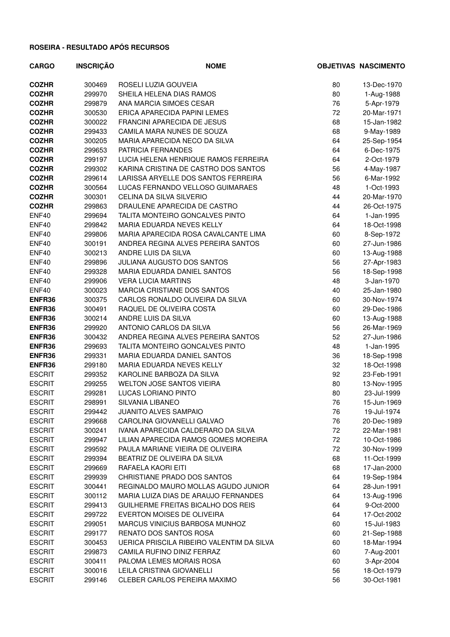| <b>CARGO</b>  | <b>INSCRIÇÃO</b> | <b>NOME</b>                               |    | <b>OBJETIVAS NASCIMENTO</b> |
|---------------|------------------|-------------------------------------------|----|-----------------------------|
| <b>COZHR</b>  | 300469           | ROSELI LUZIA GOUVEIA                      | 80 | 13-Dec-1970                 |
| <b>COZHR</b>  | 299970           | SHEILA HELENA DIAS RAMOS                  | 80 | 1-Aug-1988                  |
| <b>COZHR</b>  | 299879           | ANA MARCIA SIMOES CESAR                   | 76 | 5-Apr-1979                  |
| <b>COZHR</b>  | 300530           | ERICA APARECIDA PAPINI LEMES              | 72 | 20-Mar-1971                 |
| <b>COZHR</b>  | 300022           | FRANCINI APARECIDA DE JESUS               | 68 | 15-Jan-1982                 |
| <b>COZHR</b>  | 299433           | CAMILA MARA NUNES DE SOUZA                | 68 | 9-May-1989                  |
| <b>COZHR</b>  | 300205           | MARIA APARECIDA NECO DA SILVA             | 64 | 25-Sep-1954                 |
| <b>COZHR</b>  | 299653           | PATRICIA FERNANDES                        | 64 | 6-Dec-1975                  |
| <b>COZHR</b>  | 299197           | LUCIA HELENA HENRIQUE RAMOS FERREIRA      | 64 | 2-Oct-1979                  |
| <b>COZHR</b>  | 299302           | KARINA CRISTINA DE CASTRO DOS SANTOS      | 56 | 4-May-1987                  |
| <b>COZHR</b>  | 299614           | LARISSA ARYELLE DOS SANTOS FERREIRA       | 56 | 6-Mar-1992                  |
| <b>COZHR</b>  | 300564           | LUCAS FERNANDO VELLOSO GUIMARAES          | 48 | 1-Oct-1993                  |
| <b>COZHR</b>  | 300301           | CELINA DA SILVA SILVERIO                  | 44 | 20-Mar-1970                 |
| <b>COZHR</b>  | 299863           | DRAULENE APARECIDA DE CASTRO              | 44 | 26-Oct-1975                 |
| ENF40         | 299694           | TALITA MONTEIRO GONCALVES PINTO           | 64 | 1-Jan-1995                  |
| ENF40         | 299842           | MARIA EDUARDA NEVES KELLY                 | 64 | 18-Oct-1998                 |
| ENF40         | 299806           | MARIA APARECIDA ROSA CAVALCANTE LIMA      | 60 | 8-Sep-1972                  |
| ENF40         | 300191           | ANDREA REGINA ALVES PEREIRA SANTOS        | 60 | 27-Jun-1986                 |
| ENF40         | 300213           | ANDRE LUIS DA SILVA                       | 60 | 13-Aug-1988                 |
| ENF40         | 299896           | JULIANA AUGUSTO DOS SANTOS                | 56 | 27-Apr-1983                 |
| ENF40         | 299328           | MARIA EDUARDA DANIEL SANTOS               | 56 | 18-Sep-1998                 |
| ENF40         | 299906           | <b>VERA LUCIA MARTINS</b>                 | 48 | 3-Jan-1970                  |
| ENF40         | 300023           | MARCIA CRISTIANE DOS SANTOS               | 40 | 25-Jan-1980                 |
| ENFR36        | 300375           | CARLOS RONALDO OLIVEIRA DA SILVA          | 60 | 30-Nov-1974                 |
| ENFR36        | 300491           | RAQUEL DE OLIVEIRA COSTA                  | 60 | 29-Dec-1986                 |
| ENFR36        | 300214           | ANDRE LUIS DA SILVA                       | 60 | 13-Aug-1988                 |
| ENFR36        | 299920           | ANTONIO CARLOS DA SILVA                   | 56 | 26-Mar-1969                 |
| ENFR36        | 300432           | ANDREA REGINA ALVES PEREIRA SANTOS        | 52 | 27-Jun-1986                 |
| ENFR36        | 299693           | TALITA MONTEIRO GONCALVES PINTO           | 48 | 1-Jan-1995                  |
| ENFR36        | 299331           | MARIA EDUARDA DANIEL SANTOS               | 36 | 18-Sep-1998                 |
| ENFR36        | 299180           | MARIA EDUARDA NEVES KELLY                 | 32 | 18-Oct-1998                 |
| <b>ESCRIT</b> | 299352           | KAROLINE BARBOZA DA SILVA                 | 92 | 23-Feb-1991                 |
| <b>ESCRIT</b> | 299255           | <b>WELTON JOSE SANTOS VIEIRA</b>          | 80 | 13-Nov-1995                 |
| <b>ESCRIT</b> | 299281           | LUCAS LORIANO PINTO                       | 80 | 23-Jul-1999                 |
| <b>ESCRIT</b> | 298991           | SILVANIA LIBANEO                          | 76 | 15-Jun-1969                 |
| <b>ESCRIT</b> | 299442           | <b>JUANITO ALVES SAMPAIO</b>              | 76 | 19-Jul-1974                 |
| <b>ESCRIT</b> | 299668           | CAROLINA GIOVANELLI GALVAO                | 76 | 20-Dec-1989                 |
| <b>ESCRIT</b> | 300241           | IVANA APARECIDA CALDERARO DA SILVA        | 72 | 22-Mar-1981                 |
| <b>ESCRIT</b> | 299947           | LILIAN APARECIDA RAMOS GOMES MOREIRA      | 72 | 10-Oct-1986                 |
| <b>ESCRIT</b> | 299592           | PAULA MARIANE VIEIRA DE OLIVEIRA          | 72 | 30-Nov-1999                 |
| <b>ESCRIT</b> | 299394           | BEATRIZ DE OLIVEIRA DA SILVA              | 68 | 11-Oct-1999                 |
| <b>ESCRIT</b> | 299669           | RAFAELA KAORI EITI                        | 68 | 17-Jan-2000                 |
| <b>ESCRIT</b> | 299939           | CHRISTIANE PRADO DOS SANTOS               | 64 | 19-Sep-1984                 |
| <b>ESCRIT</b> | 300441           | REGINALDO MAURO MOLLAS AGUDO JUNIOR       | 64 | 28-Jun-1991                 |
| <b>ESCRIT</b> | 300112           | MARIA LUIZA DIAS DE ARAUJO FERNANDES      | 64 | 13-Aug-1996                 |
| <b>ESCRIT</b> | 299413           | GUILHERME FREITAS BICALHO DOS REIS        | 64 | 9-Oct-2000                  |
| <b>ESCRIT</b> | 299722           | EVERTON MOISES DE OLIVEIRA                | 64 | 17-Oct-2002                 |
| <b>ESCRIT</b> | 299051           | MARCUS VINICIUS BARBOSA MUNHOZ            | 60 | 15-Jul-1983                 |
| <b>ESCRIT</b> | 299177           | RENATO DOS SANTOS ROSA                    | 60 | 21-Sep-1988                 |
| <b>ESCRIT</b> | 300453           | UERICA PRISCILA RIBEIRO VALENTIM DA SILVA | 60 | 18-Mar-1994                 |
| <b>ESCRIT</b> | 299873           | CAMILA RUFINO DINIZ FERRAZ                | 60 | 7-Aug-2001                  |
| <b>ESCRIT</b> | 300411           | PALOMA LEMES MORAIS ROSA                  | 60 | 3-Apr-2004                  |
| <b>ESCRIT</b> | 300016           | LEILA CRISTINA GIOVANELLI                 | 56 | 18-Oct-1979                 |
| <b>ESCRIT</b> | 299146           | CLEBER CARLOS PEREIRA MAXIMO              | 56 | 30-Oct-1981                 |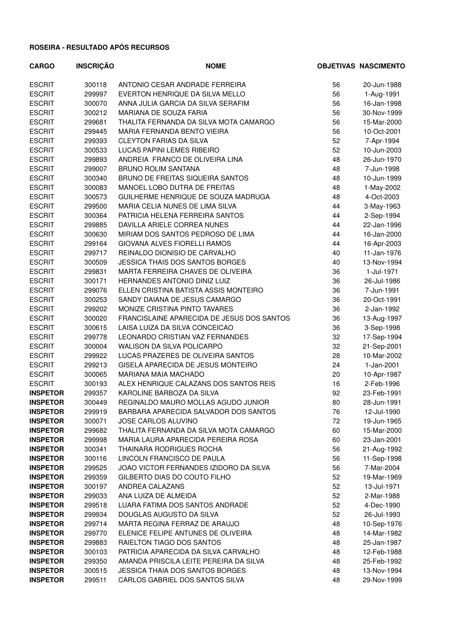| <b>CARGO</b>    | <b>INSCRIÇÃO</b> | <b>NOME</b>                                |    | <b>OBJETIVAS NASCIMENTO</b> |
|-----------------|------------------|--------------------------------------------|----|-----------------------------|
| <b>ESCRIT</b>   | 300118           | ANTONIO CESAR ANDRADE FERREIRA             | 56 | 20-Jun-1988                 |
| <b>ESCRIT</b>   | 299997           | EVERTON HENRIQUE DA SILVA MELLO            | 56 | 1-Aug-1991                  |
| <b>ESCRIT</b>   | 300070           | ANNA JULIA GARCIA DA SILVA SERAFIM         | 56 | 16-Jan-1998                 |
| <b>ESCRIT</b>   | 300212           | MARIANA DE SOUZA FARIA                     | 56 | 30-Nov-1999                 |
| <b>ESCRIT</b>   | 299681           | THALITA FERNANDA DA SILVA MOTA CAMARGO     | 56 | 15-Mar-2000                 |
| <b>ESCRIT</b>   | 299445           | MARIA FERNANDA BENTO VIEIRA                | 56 | 10-Oct-2001                 |
| <b>ESCRIT</b>   | 299393           | <b>CLEYTON FARIAS DA SILVA</b>             | 52 | 7-Apr-1994                  |
| <b>ESCRIT</b>   | 300533           | LUCAS PAPINI LEMES RIBEIRO                 | 52 | 10-Jun-2003                 |
| <b>ESCRIT</b>   | 299893           | ANDREIA FRANCO DE OLIVEIRA LINA            | 48 | 26-Jun-1970                 |
| <b>ESCRIT</b>   | 299007           | <b>BRUNO ROLIM SANTANA</b>                 | 48 | 7-Jun-1998                  |
| <b>ESCRIT</b>   | 300340           | BRUNO DE FREITAS SIQUEIRA SANTOS           | 48 | 10-Jun-1999                 |
| <b>ESCRIT</b>   | 300083           | MANOEL LOBO DUTRA DE FREITAS               | 48 | 1-May-2002                  |
| <b>ESCRIT</b>   | 300573           | GUILHERME HENRIQUE DE SOUZA MADRUGA        | 48 | 4-Oct-2003                  |
| <b>ESCRIT</b>   | 299500           | MARIA CELIA NUNES DE LIMA SILVA            | 44 | 3-May-1963                  |
| <b>ESCRIT</b>   | 300364           | PATRICIA HELENA FERREIRA SANTOS            | 44 | 2-Sep-1994                  |
| <b>ESCRIT</b>   | 299885           | DAVILLA ARIELE CORREA NUNES                | 44 | 22-Jan-1996                 |
| <b>ESCRIT</b>   | 300630           | MIRIAM DOS SANTOS PEDROSO DE LIMA          | 44 | 16-Jan-2000                 |
| <b>ESCRIT</b>   | 299164           | GIOVANA ALVES FIORELLI RAMOS               | 44 | 16-Apr-2003                 |
| <b>ESCRIT</b>   | 299717           | REINALDO DIONISIO DE CARVALHO              | 40 | 11-Jan-1976                 |
| <b>ESCRIT</b>   | 300509           | JESSICA THAIS DOS SANTOS BORGES            | 40 | 13-Nov-1994                 |
| <b>ESCRIT</b>   | 299831           | MARTA FERREIRA CHAVES DE OLIVEIRA          | 36 | 1-Jul-1971                  |
| <b>ESCRIT</b>   | 300171           | HERNANDES ANTONIO DINIZ LUIZ               | 36 | 26-Jul-1986                 |
| <b>ESCRIT</b>   | 299076           | ELLEN CRISTINA BATISTA ASSIS MONTEIRO      | 36 | 7-Jun-1991                  |
| <b>ESCRIT</b>   | 300253           | SANDY DAIANA DE JESUS CAMARGO              | 36 | 20-Oct-1991                 |
| <b>ESCRIT</b>   | 299202           | MONIZE CRISTINA PINTO TAVARES              | 36 | 2-Jan-1992                  |
| <b>ESCRIT</b>   | 300020           | FRANCISLAINE APARECIDA DE JESUS DOS SANTOS | 36 | 13-Aug-1997                 |
| <b>ESCRIT</b>   | 300615           | LAISA LUIZA DA SILVA CONCEICAO             | 36 | 3-Sep-1998                  |
| <b>ESCRIT</b>   | 299778           | LEONARDO CRISTIAN VAZ FERNANDES            | 32 | 17-Sep-1994                 |
| <b>ESCRIT</b>   | 300004           | WALISON DA SILVA POLICARPO                 | 32 | 21-Sep-2001                 |
| <b>ESCRIT</b>   | 299922           | LUCAS PRAZERES DE OLIVEIRA SANTOS          | 28 | 10-Mar-2002                 |
| <b>ESCRIT</b>   | 299213           | GISELA APARECIDA DE JESUS MONTEIRO         | 24 | 1-Jan-2001                  |
| <b>ESCRIT</b>   | 300065           | <b>MARIANA MAIA MACHADO</b>                | 20 | 10-Apr-1987                 |
| <b>ESCRIT</b>   | 300193           | ALEX HENRIQUE CALAZANS DOS SANTOS REIS     | 16 | 2-Feb-1996                  |
| <b>INSPETOR</b> | 299357           | KAROLINE BARBOZA DA SILVA                  | 92 | 23-Feb-1991                 |
| <b>INSPETOR</b> | 300449           | REGINALDO MAURO MOLLAS AGUDO JUNIOR        | 80 | 28-Jun-1991                 |
| <b>INSPETOR</b> | 299919           | BARBARA APARECIDA SALVADOR DOS SANTOS      | 76 | 12-Jul-1990                 |
| <b>INSPETOR</b> | 300071           | JOSE CARLOS ALUVINO                        | 72 | 19-Jun-1965                 |
| <b>INSPETOR</b> | 299682           | THALITA FERNANDA DA SILVA MOTA CAMARGO     | 60 | 15-Mar-2000                 |
| <b>INSPETOR</b> | 299998           | MARIA LAURA APARECIDA PEREIRA ROSA         | 60 | 23-Jan-2001                 |
| <b>INSPETOR</b> | 300341           | THAINARA RODRIGUES ROCHA                   | 56 | 21-Aug-1992                 |
| <b>INSPETOR</b> | 300116           | LINCOLN FRANCISCO DE PAULA                 | 56 | 11-Sep-1998                 |
| <b>INSPETOR</b> | 299525           | JOAO VICTOR FERNANDES IZIDORO DA SILVA     | 56 | 7-Mar-2004                  |
| <b>INSPETOR</b> | 299359           | GILBERTO DIAS DO COUTO FILHO               | 52 | 19-Mar-1969                 |
| <b>INSPETOR</b> | 300197           | ANDREA CALAZANS                            | 52 | 13-Jul-1971                 |
| <b>INSPETOR</b> | 299033           | ANA LUIZA DE ALMEIDA                       | 52 | 2-Mar-1988                  |
| <b>INSPETOR</b> | 299518           | LUARA FATIMA DOS SANTOS ANDRADE            | 52 | 4-Dec-1990                  |
| <b>INSPETOR</b> | 299934           | DOUGLAS AUGUSTO DA SILVA                   | 52 | 26-Jul-1993                 |
| <b>INSPETOR</b> | 299714           | MARTA REGINA FERRAZ DE ARAUJO              | 48 | 10-Sep-1976                 |
| <b>INSPETOR</b> | 299770           | ELENICE FELIPE ANTUNES DE OLIVEIRA         | 48 | 14-Mar-1982                 |
| <b>INSPETOR</b> | 299883           | RAIELTON TIAGO DOS SANTOS                  | 48 | 25-Jan-1987                 |
| <b>INSPETOR</b> | 300103           | PATRICIA APARECIDA DA SILVA CARVALHO       | 48 | 12-Feb-1988                 |
| <b>INSPETOR</b> | 299350           | AMANDA PRISCILA LEITE PEREIRA DA SILVA     | 48 | 25-Feb-1992                 |
| <b>INSPETOR</b> | 300515           | <b>JESSICA THAIA DOS SANTOS BORGES</b>     | 48 | 13-Nov-1994                 |
| <b>INSPETOR</b> | 299511           | CARLOS GABRIEL DOS SANTOS SILVA            | 48 | 29-Nov-1999                 |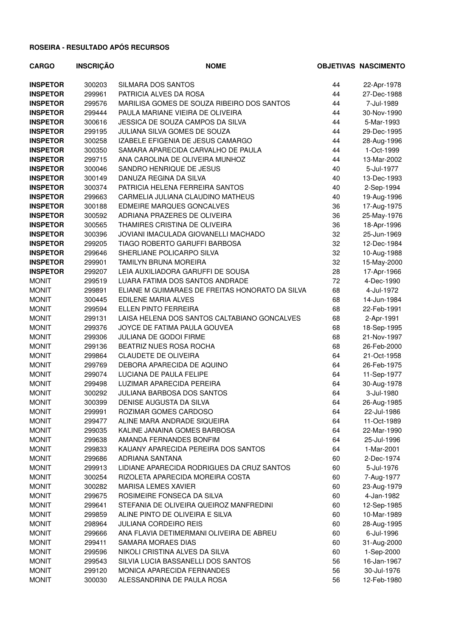| <b>CARGO</b>    | <b>INSCRIÇÃO</b> | <b>NOME</b>                                     |    | <b>OBJETIVAS NASCIMENTO</b> |
|-----------------|------------------|-------------------------------------------------|----|-----------------------------|
| <b>INSPETOR</b> | 300203           | SILMARA DOS SANTOS                              | 44 | 22-Apr-1978                 |
| <b>INSPETOR</b> | 299961           | PATRICIA ALVES DA ROSA                          | 44 | 27-Dec-1988                 |
| <b>INSPETOR</b> | 299576           | MARILISA GOMES DE SOUZA RIBEIRO DOS SANTOS      | 44 | 7-Jul-1989                  |
| <b>INSPETOR</b> | 299444           | PAULA MARIANE VIEIRA DE OLIVEIRA                | 44 | 30-Nov-1990                 |
| <b>INSPETOR</b> | 300616           | JESSICA DE SOUZA CAMPOS DA SILVA                | 44 | 5-Mar-1993                  |
| <b>INSPETOR</b> | 299195           | JULIANA SILVA GOMES DE SOUZA                    | 44 | 29-Dec-1995                 |
| <b>INSPETOR</b> | 300258           | IZABELE EFIGENIA DE JESUS CAMARGO               | 44 | 28-Aug-1996                 |
| <b>INSPETOR</b> | 300350           | SAMARA APARECIDA CARVALHO DE PAULA              | 44 | 1-Oct-1999                  |
| <b>INSPETOR</b> | 299715           | ANA CAROLINA DE OLIVEIRA MUNHOZ                 | 44 | 13-Mar-2002                 |
| <b>INSPETOR</b> | 300046           | SANDRO HENRIQUE DE JESUS                        | 40 | 5-Jul-1977                  |
| <b>INSPETOR</b> | 300149           | DANUZA REGINA DA SILVA                          | 40 | 13-Dec-1993                 |
| <b>INSPETOR</b> | 300374           | PATRICIA HELENA FERREIRA SANTOS                 | 40 | 2-Sep-1994                  |
| <b>INSPETOR</b> | 299663           | CARMELIA JULIANA CLAUDINO MATHEUS               | 40 | 19-Aug-1996                 |
| <b>INSPETOR</b> | 300188           | EDMEIRE MARQUES GONCALVES                       | 36 | 17-Aug-1975                 |
| <b>INSPETOR</b> | 300592           | ADRIANA PRAZERES DE OLIVEIRA                    | 36 | 25-May-1976                 |
| <b>INSPETOR</b> | 300565           | THAMIRES CRISTINA DE OLIVEIRA                   | 36 | 18-Apr-1996                 |
| <b>INSPETOR</b> | 300396           | JOVIANI IMACULADA GIOVANELLI MACHADO            | 32 | 25-Jun-1969                 |
| <b>INSPETOR</b> | 299205           | TIAGO ROBERTO GARUFFI BARBOSA                   | 32 | 12-Dec-1984                 |
| <b>INSPETOR</b> | 299646           | SHERLIANE POLICARPO SILVA                       | 32 | 10-Aug-1988                 |
| <b>INSPETOR</b> | 299901           | <b>TAMILYN BRUNA MOREIRA</b>                    | 32 | 15-May-2000                 |
| <b>INSPETOR</b> | 299207           | LEIA AUXILIADORA GARUFFI DE SOUSA               | 28 | 17-Apr-1966                 |
| <b>MONIT</b>    | 299519           | LUARA FATIMA DOS SANTOS ANDRADE                 | 72 | 4-Dec-1990                  |
| <b>MONIT</b>    | 299891           | ELIANE M GUIMARAES DE FREITAS HONORATO DA SILVA | 68 | 4-Jul-1972                  |
| <b>MONIT</b>    | 300445           | EDILENE MARIA ALVES                             | 68 | 14-Jun-1984                 |
| <b>MONIT</b>    | 299594           | ELLEN PINTO FERREIRA                            | 68 | 22-Feb-1991                 |
| <b>MONIT</b>    | 299131           | LAISA HELENA DOS SANTOS CALTABIANO GONCALVES    | 68 | 2-Apr-1991                  |
| <b>MONIT</b>    | 299376           | JOYCE DE FATIMA PAULA GOUVEA                    | 68 | 18-Sep-1995                 |
| <b>MONIT</b>    | 299306           | <b>JULIANA DE GODOI FIRME</b>                   | 68 | 21-Nov-1997                 |
| <b>MONIT</b>    | 299136           | BEATRIZ NUES ROSA ROCHA                         | 68 | 26-Feb-2000                 |
| <b>MONIT</b>    | 299864           | <b>CLAUDETE DE OLIVEIRA</b>                     | 64 | 21-Oct-1958                 |
| <b>MONIT</b>    | 299769           | DEBORA APARECIDA DE AQUINO                      | 64 | 26-Feb-1975                 |
| <b>MONIT</b>    | 299074           | LUCIANA DE PAULA FELIPE                         | 64 | 11-Sep-1977                 |
| <b>MONIT</b>    | 299498           | LUZIMAR APARECIDA PEREIRA                       | 64 | 30-Aug-1978                 |
| <b>MONIT</b>    | 300292           | <b>JULIANA BARBOSA DOS SANTOS</b>               | 64 | 3-Jul-1980                  |
| <b>MONIT</b>    | 300399           | DENISE AUGUSTA DA SILVA                         | 64 | 26-Aug-1985                 |
| <b>MONIT</b>    | 299991           | ROZIMAR GOMES CARDOSO                           | 64 | 22-Jul-1986                 |
| <b>MONIT</b>    | 299477           | ALINE MARA ANDRADE SIQUEIRA                     | 64 | 11-Oct-1989                 |
| <b>MONIT</b>    | 299035           | KALINE JANAINA GOMES BARBOSA                    | 64 | 22-Mar-1990                 |
| <b>MONIT</b>    | 299638           | AMANDA FERNANDES BONFIM                         | 64 | 25-Jul-1996                 |
| <b>MONIT</b>    | 299833           | KAUANY APARECIDA PEREIRA DOS SANTOS             | 64 | 1-Mar-2001                  |
| <b>MONIT</b>    | 299686           | ADRIANA SANTANA                                 | 60 | 2-Dec-1974                  |
| <b>MONIT</b>    | 299913           | LIDIANE APARECIDA RODRIGUES DA CRUZ SANTOS      | 60 | 5-Jul-1976                  |
| <b>MONIT</b>    | 300254           | RIZOLETA APARECIDA MOREIRA COSTA                | 60 | 7-Aug-1977                  |
| <b>MONIT</b>    | 300282           | <b>MARISA LEMES XAVIER</b>                      | 60 | 23-Aug-1979                 |
| <b>MONIT</b>    | 299675           | ROSIMEIRE FONSECA DA SILVA                      | 60 | 4-Jan-1982                  |
| <b>MONIT</b>    | 299641           | STEFANIA DE OLIVEIRA QUEIROZ MANFREDINI         | 60 | 12-Sep-1985                 |
| <b>MONIT</b>    | 299859           | ALINE PINTO DE OLIVEIRA E SILVA                 | 60 | 10-Mar-1989                 |
| <b>MONIT</b>    | 298964           | <b>JULIANA CORDEIRO REIS</b>                    | 60 | 28-Aug-1995                 |
| <b>MONIT</b>    | 299666           | ANA FLAVIA DETIMERMANI OLIVEIRA DE ABREU        | 60 | 6-Jul-1996                  |
| <b>MONIT</b>    | 299411           | SAMARA MORAES DIAS                              | 60 | 31-Aug-2000                 |
| <b>MONIT</b>    | 299596           | NIKOLI CRISTINA ALVES DA SILVA                  | 60 | 1-Sep-2000                  |
| <b>MONIT</b>    | 299543           | SILVIA LUCIA BASSANELLI DOS SANTOS              | 56 | 16-Jan-1967                 |
| <b>MONIT</b>    | 299120           | MONICA APARECIDA FERNANDES                      | 56 | 30-Jul-1976                 |
| <b>MONIT</b>    | 300030           | ALESSANDRINA DE PAULA ROSA                      | 56 | 12-Feb-1980                 |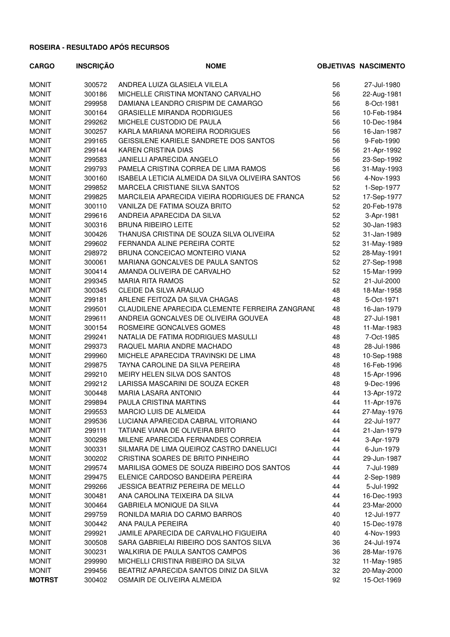| <b>CARGO</b>  | <b>INSCRIÇÃO</b> | <b>NOME</b>                                      |          | <b>OBJETIVAS NASCIMENTO</b> |
|---------------|------------------|--------------------------------------------------|----------|-----------------------------|
| <b>MONIT</b>  | 300572           | ANDREA LUIZA GLASIELA VILELA                     | 56       | 27-Jul-1980                 |
| <b>MONIT</b>  | 300186           | MICHELLE CRISTINA MONTANO CARVALHO               | 56       | 22-Aug-1981                 |
| <b>MONIT</b>  | 299958           | DAMIANA LEANDRO CRISPIM DE CAMARGO               | 56       | 8-Oct-1981                  |
| <b>MONIT</b>  | 300164           | <b>GRASIELLE MIRANDA RODRIGUES</b>               | 56       | 10-Feb-1984                 |
| <b>MONIT</b>  | 299262           | MICHELE CUSTODIO DE PAULA                        | 56       | 10-Dec-1984                 |
| <b>MONIT</b>  | 300257           | KARLA MARIANA MOREIRA RODRIGUES                  | 56       | 16-Jan-1987                 |
| <b>MONIT</b>  | 299165           | GEISSILENE KARIELE SANDRETE DOS SANTOS           | 56       | 9-Feb-1990                  |
| <b>MONIT</b>  | 299144           | <b>KAREN CRISTINA DIAS</b>                       | 56       | 21-Apr-1992                 |
| <b>MONIT</b>  | 299583           | <b>JANIELLI APARECIDA ANGELO</b>                 | 56       | 23-Sep-1992                 |
| <b>MONIT</b>  | 299793           | PAMELA CRISTINA CORREA DE LIMA RAMOS             | 56       | 31-May-1993                 |
| <b>MONIT</b>  | 300160           | ISABELA LETICIA ALMEIDA DA SILVA OLIVEIRA SANTOS | 56       | 4-Nov-1993                  |
| <b>MONIT</b>  | 299852           | MARCELA CRISTIANE SILVA SANTOS                   | 52       | 1-Sep-1977                  |
| <b>MONIT</b>  | 299825           | MARCILEIA APARECIDA VIEIRA RODRIGUES DE FRANCA   | 52       | 17-Sep-1977                 |
| <b>MONIT</b>  | 300110           | VANILZA DE FATIMA SOUZA BRITO                    | 52       | 20-Feb-1978                 |
| <b>MONIT</b>  | 299616           | ANDREIA APARECIDA DA SILVA                       | 52       | 3-Apr-1981                  |
| <b>MONIT</b>  | 300316           | <b>BRUNA RIBEIRO LEITE</b>                       | 52       | 30-Jan-1983                 |
| <b>MONIT</b>  | 300426           | THANUSA CRISTINA DE SOUZA SILVA OLIVEIRA         | 52       | 31-Jan-1989                 |
| <b>MONIT</b>  | 299602           | FERNANDA ALINE PEREIRA CORTE                     | 52       | 31-May-1989                 |
| <b>MONIT</b>  | 298972           | BRUNA CONCEICAO MONTEIRO VIANA                   | 52       | 28-May-1991                 |
| <b>MONIT</b>  | 300061           | MARIANA GONCALVES DE PAULA SANTOS                | 52       | 27-Sep-1998                 |
| <b>MONIT</b>  | 300414           | AMANDA OLIVEIRA DE CARVALHO                      | 52       | 15-Mar-1999                 |
| <b>MONIT</b>  | 299345           | <b>MARIA RITA RAMOS</b>                          | 52       | 21-Jul-2000                 |
| <b>MONIT</b>  | 300345           | CLEIDE DA SILVA ARAUJO                           | 48       | 18-Mar-1958                 |
| <b>MONIT</b>  | 299181           | ARLENE FEITOZA DA SILVA CHAGAS                   | 48       | 5-Oct-1971                  |
| <b>MONIT</b>  | 299501           | CLAUDILENE APARECIDA CLEMENTE FERREIRA ZANGRANI  | 48       | 16-Jan-1979                 |
| <b>MONIT</b>  | 299611           | ANDREIA GONCALVES DE OLIVEIRA GOUVEA             | 48       | 27-Jul-1981                 |
|               |                  |                                                  |          |                             |
| <b>MONIT</b>  | 300154           | ROSMEIRE GONCALVES GOMES                         | 48<br>48 | 11-Mar-1983                 |
| <b>MONIT</b>  | 299241           | NATALIA DE FATIMA RODRIGUES MASULLI              |          | 7-Oct-1985                  |
| <b>MONIT</b>  | 299373           | RAQUEL MARIA ANDRE MACHADO                       | 48       | 28-Jul-1986                 |
| <b>MONIT</b>  | 299960           | MICHELE APARECIDA TRAVINSKI DE LIMA              | 48       | 10-Sep-1988                 |
| <b>MONIT</b>  | 299875           | TAYNA CAROLINE DA SILVA PEREIRA                  | 48       | 16-Feb-1996                 |
| <b>MONIT</b>  | 299210           | MEIRY HELEN SILVA DOS SANTOS                     | 48       | 15-Apr-1996                 |
| <b>MONIT</b>  | 299212           | LARISSA MASCARINI DE SOUZA ECKER                 | 48       | 9-Dec-1996                  |
| <b>MONIT</b>  | 300448           | <b>MARIA LASARA ANTONIO</b>                      | 44       | 13-Apr-1972                 |
| <b>MONIT</b>  | 299894           | PAULA CRISTINA MARTINS                           | 44       | 11-Apr-1976                 |
| <b>MONIT</b>  | 299553           | <b>MARCIO LUIS DE ALMEIDA</b>                    | 44       | 27-May-1976                 |
| <b>MONIT</b>  | 299536           | LUCIANA APARECIDA CABRAL VITORIANO               | 44       | 22-Jul-1977                 |
| <b>MONIT</b>  | 299111           | TATIANE VIANA DE OLIVEIRA BRITO                  | 44       | 21-Jan-1979                 |
| <b>MONIT</b>  | 300298           | MILENE APARECIDA FERNANDES CORREIA               | 44       | 3-Apr-1979                  |
| <b>MONIT</b>  | 300331           | SILMARA DE LIMA QUEIROZ CASTRO DANELUCI          | 44       | 6-Jun-1979                  |
| <b>MONIT</b>  | 300202           | CRISTINA SOARES DE BRITO PINHEIRO                | 44       | 29-Jun-1987                 |
| <b>MONIT</b>  | 299574           | MARILISA GOMES DE SOUZA RIBEIRO DOS SANTOS       | 44       | 7-Jul-1989                  |
| <b>MONIT</b>  | 299475           | ELENICE CARDOSO BANDEIRA PEREIRA                 | 44       | 2-Sep-1989                  |
| <b>MONIT</b>  | 299266           | JESSICA BEATRIZ PEREIRA DE MELLO                 | 44       | 5-Jul-1992                  |
| <b>MONIT</b>  | 300481           | ANA CAROLINA TEIXEIRA DA SILVA                   | 44       | 16-Dec-1993                 |
| <b>MONIT</b>  | 300464           | <b>GABRIELA MONIQUE DA SILVA</b>                 | 44       | 23-Mar-2000                 |
| <b>MONIT</b>  | 299759           | RONILDA MARIA DO CARMO BARROS                    | 40       | 12-Jul-1977                 |
| <b>MONIT</b>  | 300442           | ANA PAULA PEREIRA                                | 40       | 15-Dec-1978                 |
| <b>MONIT</b>  | 299921           | JAMILE APARECIDA DE CARVALHO FIGUEIRA            | 40       | 4-Nov-1993                  |
| <b>MONIT</b>  | 300508           | SARA GABRIELAI RIBEIRO DOS SANTOS SILVA          | 36       | 24-Jul-1974                 |
| <b>MONIT</b>  | 300231           | WALKIRIA DE PAULA SANTOS CAMPOS                  | 36       | 28-Mar-1976                 |
| <b>MONIT</b>  | 299990           | MICHELLI CRISTINA RIBEIRO DA SILVA               | 32       | 11-May-1985                 |
| <b>MONIT</b>  | 299456           | BEATRIZ APARECIDA SANTOS DINIZ DA SILVA          | 32       | 20-May-2000                 |
| <b>MOTRST</b> | 300402           | OSMAIR DE OLIVEIRA ALMEIDA                       | 92       | 15-Oct-1969                 |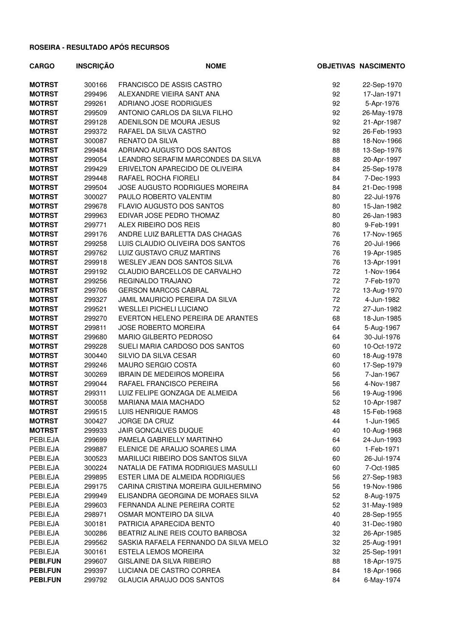| <b>CARGO</b>    | <b>INSCRIÇÃO</b> | <b>NOME</b>                           |    | <b>OBJETIVAS NASCIMENTO</b> |
|-----------------|------------------|---------------------------------------|----|-----------------------------|
| <b>MOTRST</b>   | 300166           | FRANCISCO DE ASSIS CASTRO             | 92 | 22-Sep-1970                 |
| <b>MOTRST</b>   | 299496           | ALEXANDRE VIEIRA SANT ANA             | 92 | 17-Jan-1971                 |
| <b>MOTRST</b>   | 299261           | ADRIANO JOSE RODRIGUES                | 92 | 5-Apr-1976                  |
| <b>MOTRST</b>   | 299509           | ANTONIO CARLOS DA SILVA FILHO         | 92 | 26-May-1978                 |
| <b>MOTRST</b>   | 299128           | ADENILSON DE MOURA JESUS              | 92 | 21-Apr-1987                 |
| <b>MOTRST</b>   | 299372           | RAFAEL DA SILVA CASTRO                | 92 | 26-Feb-1993                 |
| <b>MOTRST</b>   | 300087           | RENATO DA SILVA                       | 88 | 18-Nov-1966                 |
| <b>MOTRST</b>   | 299484           | ADRIANO AUGUSTO DOS SANTOS            | 88 | 13-Sep-1976                 |
| <b>MOTRST</b>   | 299054           | LEANDRO SERAFIM MARCONDES DA SILVA    | 88 | 20-Apr-1997                 |
| <b>MOTRST</b>   | 299429           | ERIVELTON APARECIDO DE OLIVEIRA       | 84 | 25-Sep-1978                 |
| <b>MOTRST</b>   | 299448           | RAFAEL ROCHA FIORELI                  | 84 | 7-Dec-1993                  |
| <b>MOTRST</b>   | 299504           | JOSE AUGUSTO RODRIGUES MOREIRA        | 84 | 21-Dec-1998                 |
| <b>MOTRST</b>   | 300027           | PAULO ROBERTO VALENTIM                | 80 | 22-Jul-1976                 |
| <b>MOTRST</b>   | 299678           | <b>FLAVIO AUGUSTO DOS SANTOS</b>      | 80 | 15-Jan-1982                 |
| <b>MOTRST</b>   | 299963           | EDIVAR JOSE PEDRO THOMAZ              | 80 | 26-Jan-1983                 |
| <b>MOTRST</b>   | 299771           | ALEX RIBEIRO DOS REIS                 | 80 | 9-Feb-1991                  |
| <b>MOTRST</b>   | 299176           | ANDRE LUIZ BARLETTA DAS CHAGAS        | 76 | 17-Nov-1965                 |
| <b>MOTRST</b>   | 299258           | LUIS CLAUDIO OLIVEIRA DOS SANTOS      | 76 | 20-Jul-1966                 |
| <b>MOTRST</b>   | 299762           | LUIZ GUSTAVO CRUZ MARTINS             | 76 | 19-Apr-1985                 |
| <b>MOTRST</b>   | 299918           | WESLEY JEAN DOS SANTOS SILVA          | 76 | 13-Apr-1991                 |
| <b>MOTRST</b>   | 299192           | CLAUDIO BARCELLOS DE CARVALHO         | 72 | 1-Nov-1964                  |
| <b>MOTRST</b>   | 299256           | REGINALDO TRAJANO                     | 72 | 7-Feb-1970                  |
| <b>MOTRST</b>   | 299706           | <b>GERSON MARCOS CABRAL</b>           | 72 | 13-Aug-1970                 |
| <b>MOTRST</b>   | 299327           | JAMIL MAURICIO PEREIRA DA SILVA       | 72 | 4-Jun-1982                  |
| <b>MOTRST</b>   | 299521           | <b>WESLLEI PICHELI LUCIANO</b>        | 72 | 27-Jun-1982                 |
| <b>MOTRST</b>   | 299270           | EVERTON HELENO PEREIRA DE ARANTES     | 68 | 18-Jun-1985                 |
| <b>MOTRST</b>   | 299811           | <b>JOSE ROBERTO MOREIRA</b>           | 64 | 5-Aug-1967                  |
| <b>MOTRST</b>   | 299680           | MARIO GILBERTO PEDROSO                | 64 | 30-Jul-1976                 |
| <b>MOTRST</b>   | 299228           | SUELI MARIA CARDOSO DOS SANTOS        | 60 | 10-Oct-1972                 |
| <b>MOTRST</b>   | 300440           | SILVIO DA SILVA CESAR                 | 60 | 18-Aug-1978                 |
| <b>MOTRST</b>   | 299246           | <b>MAURO SERGIO COSTA</b>             | 60 | 17-Sep-1979                 |
| <b>MOTRST</b>   | 300269           | <b>IBRAIN DE MEDEIROS MOREIRA</b>     | 56 | 7-Jan-1967                  |
| <b>MOTRST</b>   | 299044           | RAFAEL FRANCISCO PEREIRA              | 56 | 4-Nov-1987                  |
| <b>MOTRST</b>   | 299311           | LUIZ FELIPE GONZAGA DE ALMEIDA        | 56 | 19-Aug-1996                 |
| <b>MOTRST</b>   | 300058           | MARIANA MAIA MACHADO                  | 52 | 10-Apr-1987                 |
| <b>MOTRST</b>   | 299515           | LUIS HENRIQUE RAMOS                   | 48 | 15-Feb-1968                 |
| <b>MOTRST</b>   | 300427           | <b>JORGE DA CRUZ</b>                  | 44 | 1-Jun-1965                  |
| <b>MOTRST</b>   | 299933           | JAIR GONCALVES DUQUE                  | 40 | 10-Aug-1968                 |
| PEBI.EJA        | 299699           | PAMELA GABRIELLY MARTINHO             | 64 | 24-Jun-1993                 |
| PEBI.EJA        | 299887           | ELENICE DE ARAUJO SOARES LIMA         | 60 | 1-Feb-1971                  |
| PEBI.EJA        | 300523           | MARILUCI RIBEIRO DOS SANTOS SILVA     | 60 | 26-Jul-1974                 |
| PEBI.EJA        | 300224           | NATALIA DE FATIMA RODRIGUES MASULLI   | 60 | 7-Oct-1985                  |
| PEBI.EJA        | 299895           | ESTER LIMA DE ALMEIDA RODRIGUES       | 56 | 27-Sep-1983                 |
| PEBI.EJA        | 299175           | CARINA CRISTINA MOREIRA GUILHERMINO   | 56 | 19-Nov-1986                 |
| PEBI.EJA        | 299949           | ELISANDRA GEORGINA DE MORAES SILVA    | 52 | 8-Aug-1975                  |
| PEBI.EJA        | 299603           | FERNANDA ALINE PEREIRA CORTE          | 52 | 31-May-1989                 |
| PEBI.EJA        | 298971           | OSMAR MONTEIRO DA SILVA               | 40 | 28-Sep-1955                 |
| PEBI.EJA        | 300181           | PATRICIA APARECIDA BENTO              | 40 | 31-Dec-1980                 |
| PEBI.EJA        | 300286           | BEATRIZ ALINE REIS COUTO BARBOSA      | 32 | 26-Apr-1985                 |
| PEBI.EJA        | 299562           | SASKIA RAFAELA FERNANDO DA SILVA MELO | 32 | 25-Aug-1991                 |
| PEBI.EJA        | 300161           | <b>ESTELA LEMOS MOREIRA</b>           | 32 | 25-Sep-1991                 |
| <b>PEBI.FUN</b> | 299607           | GISLAINE DA SILVA RIBEIRO             | 88 | 18-Apr-1975                 |
| <b>PEBI.FUN</b> | 299397           | LUCIANA DE CASTRO CORREA              | 84 | 18-Apr-1966                 |
| <b>PEBI.FUN</b> | 299792           | <b>GLAUCIA ARAUJO DOS SANTOS</b>      | 84 | 6-May-1974                  |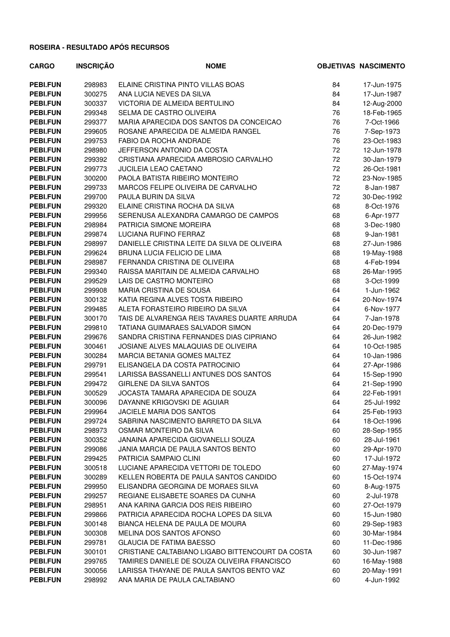| <b>CARGO</b>    | <b>INSCRIÇÃO</b> | <b>NOME</b>                                      |    | <b>OBJETIVAS NASCIMENTO</b> |
|-----------------|------------------|--------------------------------------------------|----|-----------------------------|
| <b>PEBI.FUN</b> | 298983           | ELAINE CRISTINA PINTO VILLAS BOAS                | 84 | 17-Jun-1975                 |
| <b>PEBI.FUN</b> | 300275           | ANA LUCIA NEVES DA SILVA                         | 84 | 17-Jun-1987                 |
| <b>PEBI.FUN</b> | 300337           | VICTORIA DE ALMEIDA BERTULINO                    | 84 | 12-Aug-2000                 |
| <b>PEBI.FUN</b> | 299348           | SELMA DE CASTRO OLIVEIRA                         | 76 | 18-Feb-1965                 |
| <b>PEBI.FUN</b> | 299377           | MARIA APARECIDA DOS SANTOS DA CONCEICAO          | 76 | 7-Oct-1966                  |
| PEBI.FUN        | 299605           | ROSANE APARECIDA DE ALMEIDA RANGEL               | 76 | 7-Sep-1973                  |
| <b>PEBI.FUN</b> | 299753           | FABIO DA ROCHA ANDRADE                           | 76 | 23-Oct-1983                 |
| <b>PEBI.FUN</b> | 298980           | JEFFERSON ANTONIO DA COSTA                       | 72 | 12-Jun-1978                 |
| <b>PEBI.FUN</b> | 299392           | CRISTIANA APARECIDA AMBROSIO CARVALHO            | 72 | 30-Jan-1979                 |
| <b>PEBI.FUN</b> | 299773           | <b>JUCILEIA LEAO CAETANO</b>                     | 72 | 26-Oct-1981                 |
| <b>PEBI.FUN</b> | 300200           | PAOLA BATISTA RIBEIRO MONTEIRO                   | 72 | 23-Nov-1985                 |
| <b>PEBI.FUN</b> | 299733           | MARCOS FELIPE OLIVEIRA DE CARVALHO               | 72 | 8-Jan-1987                  |
| <b>PEBI.FUN</b> | 299700           | PAULA BURIN DA SILVA                             | 72 | 30-Dec-1992                 |
| <b>PEBI.FUN</b> | 299320           | ELAINE CRISTINA ROCHA DA SILVA                   | 68 | 8-Oct-1976                  |
| <b>PEBI.FUN</b> | 299956           | SERENUSA ALEXANDRA CAMARGO DE CAMPOS             | 68 | 6-Apr-1977                  |
| <b>PEBI.FUN</b> | 298984           | PATRICIA SIMONE MOREIRA                          | 68 | 3-Dec-1980                  |
| <b>PEBI.FUN</b> | 299874           | LUCIANA RUFINO FERRAZ                            | 68 | 9-Jan-1981                  |
| <b>PEBI.FUN</b> | 298997           | DANIELLE CRISTINA LEITE DA SILVA DE OLIVEIRA     | 68 | 27-Jun-1986                 |
| <b>PEBI.FUN</b> | 299624           | BRUNA LUCIA FELICIO DE LIMA                      | 68 | 19-May-1988                 |
| <b>PEBI.FUN</b> | 298987           | FERNANDA CRISTINA DE OLIVEIRA                    | 68 | 4-Feb-1994                  |
| <b>PEBI.FUN</b> | 299340           | RAISSA MARITAIN DE ALMEIDA CARVALHO              | 68 | 26-Mar-1995                 |
| <b>PEBI.FUN</b> | 299529           | LAIS DE CASTRO MONTEIRO                          | 68 | 3-Oct-1999                  |
| <b>PEBI.FUN</b> | 299908           | MARIA CRISTINA DE SOUSA                          | 64 | 1-Jun-1962                  |
| <b>PEBI.FUN</b> | 300132           | KATIA REGINA ALVES TOSTA RIBEIRO                 | 64 | 20-Nov-1974                 |
| <b>PEBI.FUN</b> | 299485           | ALETA FORASTEIRO RIBEIRO DA SILVA                | 64 | 6-Nov-1977                  |
| <b>PEBI.FUN</b> | 300170           | TAIS DE ALVARENGA REIS TAVARES DUARTE ARRUDA     | 64 | 7-Jan-1978                  |
| <b>PEBI.FUN</b> | 299810           | TATIANA GUIMARAES SALVADOR SIMON                 | 64 | 20-Dec-1979                 |
| <b>PEBI.FUN</b> | 299676           | SANDRA CRISTINA FERNANDES DIAS CIPRIANO          | 64 | 26-Jun-1982                 |
| <b>PEBI.FUN</b> | 300461           | JOSIANE ALVES MALAQUIAS DE OLIVEIRA              | 64 | 10-Oct-1985                 |
| <b>PEBI.FUN</b> | 300284           | MARCIA BETANIA GOMES MALTEZ                      | 64 | 10-Jan-1986                 |
| <b>PEBI.FUN</b> | 299791           | ELISANGELA DA COSTA PATROCINIO                   | 64 | 27-Apr-1986                 |
| <b>PEBI.FUN</b> | 299541           | LARISSA BASSANELLI ANTUNES DOS SANTOS            | 64 | 15-Sep-1990                 |
| <b>PEBI.FUN</b> | 299472           | GIRLENE DA SILVA SANTOS                          | 64 | 21-Sep-1990                 |
| <b>PEBI.FUN</b> | 300529           | JOCASTA TAMARA APARECIDA DE SOUZA                | 64 | 22-Feb-1991                 |
| <b>PEBI.FUN</b> | 300096           | DAYANNE KRIGOVSKI DE AGUIAR                      | 64 | 25-Jul-1992                 |
| <b>PEBI.FUN</b> | 299964           | <b>JACIELE MARIA DOS SANTOS</b>                  | 64 | 25-Feb-1993                 |
| <b>PEBI.FUN</b> | 299724           | SABRINA NASCIMENTO BARRETO DA SILVA              | 64 | 18-Oct-1996                 |
| <b>PEBI.FUN</b> | 298973           | OSMAR MONTEIRO DA SILVA                          | 60 | 28-Sep-1955                 |
| <b>PEBI.FUN</b> | 300352           | JANAINA APARECIDA GIOVANELLI SOUZA               | 60 | 28-Jul-1961                 |
| <b>PEBI.FUN</b> | 299086           | JANIA MARCIA DE PAULA SANTOS BENTO               | 60 | 29-Apr-1970                 |
| <b>PEBI.FUN</b> | 299425           | PATRICIA SAMPAIO CLINI                           | 60 | 17-Jul-1972                 |
| <b>PEBI.FUN</b> | 300518           | LUCIANE APARECIDA VETTORI DE TOLEDO              | 60 | 27-May-1974                 |
| <b>PEBI.FUN</b> | 300289           | KELLEN ROBERTA DE PAULA SANTOS CANDIDO           | 60 | 15-Oct-1974                 |
| <b>PEBI.FUN</b> | 299950           | ELISANDRA GEORGINA DE MORAES SILVA               | 60 | 8-Aug-1975                  |
| <b>PEBI.FUN</b> | 299257           | REGIANE ELISABETE SOARES DA CUNHA                | 60 | 2-Jul-1978                  |
| <b>PEBI.FUN</b> | 298951           | ANA KARINA GARCIA DOS REIS RIBEIRO               | 60 | 27-Oct-1979                 |
| <b>PEBI.FUN</b> | 299866           | PATRICIA APARECIDA ROCHA LOPES DA SILVA          | 60 | 15-Jun-1980                 |
| <b>PEBI.FUN</b> | 300148           | BIANCA HELENA DE PAULA DE MOURA                  | 60 | 29-Sep-1983                 |
| <b>PEBI.FUN</b> | 300308           | MELINA DOS SANTOS AFONSO                         | 60 | 30-Mar-1984                 |
| <b>PEBI.FUN</b> | 299781           | <b>GLAUCIA DE FATIMA BAESSO</b>                  | 60 | 11-Dec-1986                 |
| <b>PEBI.FUN</b> | 300101           | CRISTIANE CALTABIANO LIGABO BITTENCOURT DA COSTA | 60 | 30-Jun-1987                 |
| <b>PEBI.FUN</b> | 299765           | TAMIRES DANIELE DE SOUZA OLIVEIRA FRANCISCO      | 60 | 16-May-1988                 |
| <b>PEBI.FUN</b> | 300056           | LARISSA THAYANE DE PAULA SANTOS BENTO VAZ        | 60 | 20-May-1991                 |
| <b>PEBI.FUN</b> | 298992           | ANA MARIA DE PAULA CALTABIANO                    | 60 | 4-Jun-1992                  |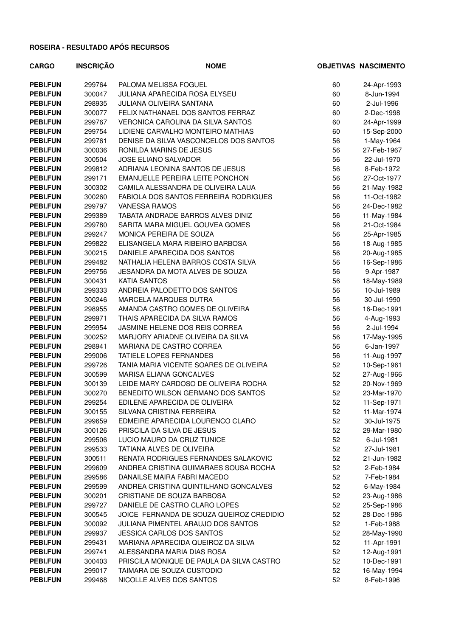| <b>CARGO</b>    | <b>INSCRIÇÃO</b> | <b>NOME</b>                               |    | <b>OBJETIVAS NASCIMENTO</b> |
|-----------------|------------------|-------------------------------------------|----|-----------------------------|
| <b>PEBI.FUN</b> | 299764           | PALOMA MELISSA FOGUEL                     | 60 | 24-Apr-1993                 |
| <b>PEBI.FUN</b> | 300047           | JULIANA APARECIDA ROSA ELYSEU             | 60 | 8-Jun-1994                  |
| <b>PEBI.FUN</b> | 298935           | <b>JULIANA OLIVEIRA SANTANA</b>           | 60 | 2-Jul-1996                  |
| <b>PEBI.FUN</b> | 300077           | FELIX NATHANAEL DOS SANTOS FERRAZ         | 60 | 2-Dec-1998                  |
| <b>PEBI.FUN</b> | 299767           | VERONICA CAROLINA DA SILVA SANTOS         | 60 | 24-Apr-1999                 |
| <b>PEBI.FUN</b> | 299754           | LIDIENE CARVALHO MONTEIRO MATHIAS         | 60 | 15-Sep-2000                 |
| <b>PEBI.FUN</b> | 299761           | DENISE DA SILVA VASCONCELOS DOS SANTOS    | 56 | 1-May-1964                  |
| <b>PEBI.FUN</b> | 300036           | RONILDA MARINS DE JESUS                   | 56 | 27-Feb-1967                 |
| <b>PEBI.FUN</b> | 300504           | <b>JOSE ELIANO SALVADOR</b>               | 56 | 22-Jul-1970                 |
| <b>PEBI.FUN</b> | 299812           | ADRIANA LEONINA SANTOS DE JESUS           | 56 | 8-Feb-1972                  |
| <b>PEBI.FUN</b> | 299171           | EMANUELLE PEREIRA LEITE PONCHON           | 56 | 27-Oct-1977                 |
| <b>PEBI.FUN</b> | 300302           | CAMILA ALESSANDRA DE OLIVEIRA LAUA        | 56 | 21-May-1982                 |
| <b>PEBI.FUN</b> | 300260           | FABIOLA DOS SANTOS FERREIRA RODRIGUES     | 56 | 11-Oct-1982                 |
| <b>PEBI.FUN</b> | 299797           | <b>VANESSA RAMOS</b>                      | 56 | 24-Dec-1982                 |
| <b>PEBI.FUN</b> | 299389           | TABATA ANDRADE BARROS ALVES DINIZ         | 56 | 11-May-1984                 |
| <b>PEBI.FUN</b> | 299780           | SARITA MARA MIGUEL GOUVEA GOMES           | 56 | 21-Oct-1984                 |
| <b>PEBI.FUN</b> | 299247           | MONICA PEREIRA DE SOUZA                   | 56 | 25-Apr-1985                 |
| <b>PEBI.FUN</b> | 299822           | ELISANGELA MARA RIBEIRO BARBOSA           | 56 | 18-Aug-1985                 |
| <b>PEBI.FUN</b> | 300215           | DANIELE APARECIDA DOS SANTOS              | 56 | 20-Aug-1985                 |
| <b>PEBI.FUN</b> | 299482           | NATHALIA HELENA BARROS COSTA SILVA        | 56 | 16-Sep-1986                 |
| <b>PEBI.FUN</b> | 299756           | JESANDRA DA MOTA ALVES DE SOUZA           | 56 | 9-Apr-1987                  |
| <b>PEBI.FUN</b> | 300431           | <b>KATIA SANTOS</b>                       | 56 | 18-May-1989                 |
| <b>PEBI.FUN</b> | 299333           | ANDREIA PALODETTO DOS SANTOS              | 56 | 10-Jul-1989                 |
| <b>PEBI.FUN</b> | 300246           | MARCELA MARQUES DUTRA                     | 56 | 30-Jul-1990                 |
| <b>PEBI.FUN</b> | 298955           | AMANDA CASTRO GOMES DE OLIVEIRA           | 56 | 16-Dec-1991                 |
| <b>PEBI.FUN</b> | 299971           | THAIS APARECIDA DA SILVA RAMOS            | 56 | 4-Aug-1993                  |
| <b>PEBI.FUN</b> | 299954           | JASMINE HELENE DOS REIS CORREA            | 56 | 2-Jul-1994                  |
| <b>PEBI.FUN</b> | 300252           | MARJORY ARIADNE OLIVEIRA DA SILVA         | 56 | 17-May-1995                 |
| <b>PEBI.FUN</b> | 298941           | MARIANA DE CASTRO CORREA                  | 56 | 6-Jan-1997                  |
| <b>PEBI.FUN</b> | 299006           | <b>TATIELE LOPES FERNANDES</b>            | 56 | 11-Aug-1997                 |
| <b>PEBI.FUN</b> | 299726           | TANIA MARIA VICENTE SOARES DE OLIVEIRA    | 52 | 10-Sep-1961                 |
| <b>PEBI.FUN</b> | 300599           | MARISA ELIANA GONCALVES                   | 52 | 27-Aug-1966                 |
| <b>PEBI.FUN</b> | 300139           | LEIDE MARY CARDOSO DE OLIVEIRA ROCHA      | 52 | 20-Nov-1969                 |
| <b>PEBI.FUN</b> | 300270           | BENEDITO WILSON GERMANO DOS SANTOS        | 52 | 23-Mar-1970                 |
| <b>PEBI.FUN</b> | 299254           | EDILENE APARECIDA DE OLIVEIRA             | 52 | 11-Sep-1971                 |
| <b>PEBI.FUN</b> | 300155           | SILVANA CRISTINA FERREIRA                 | 52 | 11-Mar-1974                 |
| <b>PEBI.FUN</b> | 299659           | EDMEIRE APARECIDA LOURENCO CLARO          | 52 | 30-Jul-1975                 |
| <b>PEBI.FUN</b> | 300126           | PRISCILA DA SILVA DE JESUS                | 52 | 29-Mar-1980                 |
| <b>PEBI.FUN</b> | 299506           | LUCIO MAURO DA CRUZ TUNICE                | 52 | 6-Jul-1981                  |
| <b>PEBI.FUN</b> | 299533           | TATIANA ALVES DE OLIVEIRA                 | 52 | 27-Jul-1981                 |
| <b>PEBI.FUN</b> | 300511           | RENATA RODRIGUES FERNANDES SALAKOVIC      | 52 | 21-Jun-1982                 |
| <b>PEBI.FUN</b> | 299609           | ANDREA CRISTINA GUIMARAES SOUSA ROCHA     | 52 | 2-Feb-1984                  |
| <b>PEBI.FUN</b> | 299586           | DANAILSE MAIRA FABRI MACEDO               | 52 | 7-Feb-1984                  |
| <b>PEBI.FUN</b> | 299599           | ANDREA CRISTINA QUINTILHANO GONCALVES     | 52 | 6-May-1984                  |
| <b>PEBI.FUN</b> | 300201           | CRISTIANE DE SOUZA BARBOSA                | 52 | 23-Aug-1986                 |
| <b>PEBI.FUN</b> | 299727           | DANIELE DE CASTRO CLARO LOPES             | 52 | 25-Sep-1986                 |
| <b>PEBI.FUN</b> | 300545           | JOICE FERNANDA DE SOUZA QUEIROZ CREDIDIO  | 52 | 28-Dec-1986                 |
| <b>PEBI.FUN</b> | 300092           | JULIANA PIMENTEL ARAUJO DOS SANTOS        | 52 | 1-Feb-1988                  |
| <b>PEBI.FUN</b> | 299937           | <b>JESSICA CARLOS DOS SANTOS</b>          | 52 | 28-May-1990                 |
| <b>PEBI.FUN</b> | 299431           | MARIANA APARECIDA QUEIROZ DA SILVA        | 52 | 11-Apr-1991                 |
| <b>PEBI.FUN</b> | 299741           | ALESSANDRA MARIA DIAS ROSA                | 52 | 12-Aug-1991                 |
| <b>PEBI.FUN</b> | 300403           | PRISCILA MONIQUE DE PAULA DA SILVA CASTRO | 52 | 10-Dec-1991                 |
| <b>PEBI.FUN</b> | 299017           | TAIMARA DE SOUZA CUSTODIO                 | 52 | 16-May-1994                 |
| <b>PEBI.FUN</b> | 299468           | NICOLLE ALVES DOS SANTOS                  | 52 | 8-Feb-1996                  |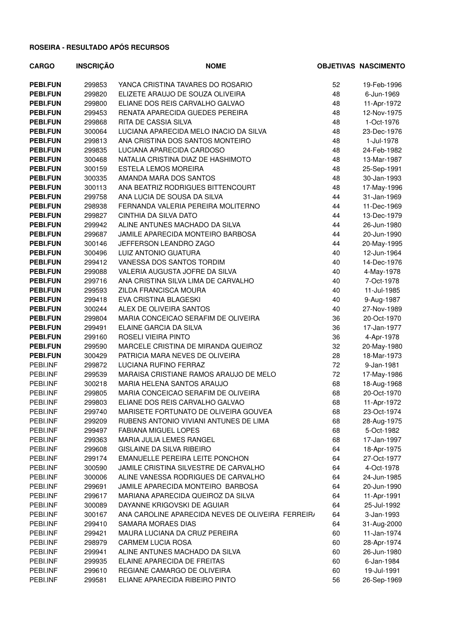| <b>CARGO</b>    | <b>INSCRIÇÃO</b> | <b>NOME</b>                                       |    | <b>OBJETIVAS NASCIMENTO</b> |
|-----------------|------------------|---------------------------------------------------|----|-----------------------------|
| <b>PEBI.FUN</b> | 299853           | YANCA CRISTINA TAVARES DO ROSARIO                 | 52 | 19-Feb-1996                 |
| <b>PEBI.FUN</b> | 299820           | ELIZETE ARAUJO DE SOUZA OLIVEIRA                  | 48 | 6-Jun-1969                  |
| <b>PEBI.FUN</b> | 299800           | ELIANE DOS REIS CARVALHO GALVAO                   | 48 | 11-Apr-1972                 |
| <b>PEBI.FUN</b> | 299453           | RENATA APARECIDA GUEDES PEREIRA                   | 48 | 12-Nov-1975                 |
| <b>PEBI.FUN</b> | 299868           | RITA DE CASSIA SILVA                              | 48 | 1-Oct-1976                  |
| <b>PEBI.FUN</b> | 300064           | LUCIANA APARECIDA MELO INACIO DA SILVA            | 48 | 23-Dec-1976                 |
| <b>PEBI.FUN</b> | 299813           | ANA CRISTINA DOS SANTOS MONTEIRO                  | 48 | 1-Jul-1978                  |
| <b>PEBI.FUN</b> | 299835           | LUCIANA APARECIDA CARDOSO                         | 48 | 24-Feb-1982                 |
| <b>PEBI.FUN</b> | 300468           | NATALIA CRISTINA DIAZ DE HASHIMOTO                | 48 | 13-Mar-1987                 |
| <b>PEBI.FUN</b> | 300159           | <b>ESTELA LEMOS MOREIRA</b>                       | 48 | 25-Sep-1991                 |
| <b>PEBI.FUN</b> | 300335           | AMANDA MARA DOS SANTOS                            | 48 | 30-Jan-1993                 |
| <b>PEBI.FUN</b> | 300113           | ANA BEATRIZ RODRIGUES BITTENCOURT                 | 48 | 17-May-1996                 |
| <b>PEBI.FUN</b> | 299758           | ANA LUCIA DE SOUSA DA SILVA                       | 44 | 31-Jan-1969                 |
| <b>PEBI.FUN</b> | 298938           | FERNANDA VALERIA PEREIRA MOLITERNO                | 44 | 11-Dec-1969                 |
| <b>PEBI.FUN</b> | 299827           | CINTHIA DA SILVA DATO                             | 44 | 13-Dec-1979                 |
| <b>PEBI.FUN</b> | 299942           | ALINE ANTUNES MACHADO DA SILVA                    | 44 | 26-Jun-1980                 |
| <b>PEBI.FUN</b> | 299687           | JAMILE APARECIDA MONTEIRO BARBOSA                 | 44 | 20-Jun-1990                 |
| <b>PEBI.FUN</b> | 300146           | JEFFERSON LEANDRO ZAGO                            | 44 | 20-May-1995                 |
| <b>PEBI.FUN</b> | 300496           | LUIZ ANTONIO GUATURA                              | 40 | 12-Jun-1964                 |
| <b>PEBI.FUN</b> | 299412           | VANESSA DOS SANTOS TORDIM                         | 40 | 14-Dec-1976                 |
| <b>PEBI.FUN</b> | 299088           | VALERIA AUGUSTA JOFRE DA SILVA                    | 40 | 4-May-1978                  |
| <b>PEBI.FUN</b> | 299716           | ANA CRISTINA SILVA LIMA DE CARVALHO               | 40 | 7-Oct-1978                  |
| <b>PEBI.FUN</b> | 299593           | ZILDA FRANCISCA MOURA                             | 40 | 11-Jul-1985                 |
| PEBI.FUN        | 299418           | EVA CRISTINA BLAGESKI                             | 40 | 9-Aug-1987                  |
| <b>PEBI.FUN</b> | 300244           | ALEX DE OLIVEIRA SANTOS                           | 40 | 27-Nov-1989                 |
| <b>PEBI.FUN</b> | 299804           | MARIA CONCEICAO SERAFIM DE OLIVEIRA               | 36 | 20-Oct-1970                 |
| <b>PEBI.FUN</b> | 299491           | ELAINE GARCIA DA SILVA                            | 36 | 17-Jan-1977                 |
| <b>PEBI.FUN</b> | 299160           | ROSELI VIEIRA PINTO                               | 36 | 4-Apr-1978                  |
| <b>PEBI.FUN</b> | 299590           | MARCELE CRISTINA DE MIRANDA QUEIROZ               | 32 | 20-May-1980                 |
| <b>PEBI.FUN</b> | 300429           | PATRICIA MARA NEVES DE OLIVEIRA                   | 28 | 18-Mar-1973                 |
| PEBI.INF        | 299872           | LUCIANA RUFINO FERRAZ                             | 72 | 9-Jan-1981                  |
| PEBI.INF        | 299539           | MARAISA CRISTIANE RAMOS ARAUJO DE MELO            | 72 | 17-May-1986                 |
| PEBI.INF        | 300218           | MARIA HELENA SANTOS ARAUJO                        | 68 | 18-Aug-1968                 |
| PEBI.INF        | 299805           | MARIA CONCEICAO SERAFIM DE OLIVEIRA               | 68 | 20-Oct-1970                 |
| PEBI.INF        | 299803           | ELIANE DOS REIS CARVALHO GALVAO                   | 68 | 11-Apr-1972                 |
| PEBI.INF        | 299740           | MARISETE FORTUNATO DE OLIVEIRA GOUVEA             | 68 | 23-Oct-1974                 |
| PEBI.INF        | 299209           | RUBENS ANTONIO VIVIANI ANTUNES DE LIMA            | 68 | 28-Aug-1975                 |
| PEBI.INF        | 299497           | <b>FABIANA MIGUEL LOPES</b>                       | 68 | 5-Oct-1982                  |
| PEBI.INF        | 299363           | MARIA JULIA LEMES RANGEL                          | 68 | 17-Jan-1997                 |
| PEBI.INF        | 299608           | GISLAINE DA SILVA RIBEIRO                         | 64 | 18-Apr-1975                 |
| PEBI.INF        | 299174           | EMANUELLE PEREIRA LEITE PONCHON                   | 64 | 27-Oct-1977                 |
| PEBI.INF        | 300590           | JAMILE CRISTINA SILVESTRE DE CARVALHO             | 64 | 4-Oct-1978                  |
| PEBI.INF        | 300006           | ALINE VANESSA RODRIGUES DE CARVALHO               | 64 | 24-Jun-1985                 |
| PEBI.INF        | 299691           | JAMILE APARECIDA MONTEIRO BARBOSA                 | 64 | 20-Jun-1990                 |
| PEBI.INF        | 299617           | MARIANA APARECIDA QUEIROZ DA SILVA                | 64 | 11-Apr-1991                 |
| PEBI.INF        | 300089           | DAYANNE KRIGOVSKI DE AGUIAR                       | 64 | 25-Jul-1992                 |
| PEBI.INF        | 300167           | ANA CAROLINE APARECIDA NEVES DE OLIVEIRA FERREIR/ | 64 | 3-Jan-1993                  |
| PEBI.INF        | 299410           | SAMARA MORAES DIAS                                | 64 | 31-Aug-2000                 |
| PEBI.INF        | 299421           | MAURA LUCIANA DA CRUZ PEREIRA                     | 60 | 11-Jan-1974                 |
| PEBI.INF        | 298979           | <b>CARMEM LUCIA ROSA</b>                          | 60 | 28-Apr-1974                 |
| PEBI.INF        | 299941           | ALINE ANTUNES MACHADO DA SILVA                    | 60 | 26-Jun-1980                 |
| PEBI.INF        | 299935           | ELAINE APARECIDA DE FREITAS                       | 60 | 6-Jan-1984                  |
| PEBI.INF        | 299610           | REGIANE CAMARGO DE OLIVEIRA                       | 60 | 19-Jul-1991                 |
| PEBI.INF        | 299581           | ELIANE APARECIDA RIBEIRO PINTO                    | 56 | 26-Sep-1969                 |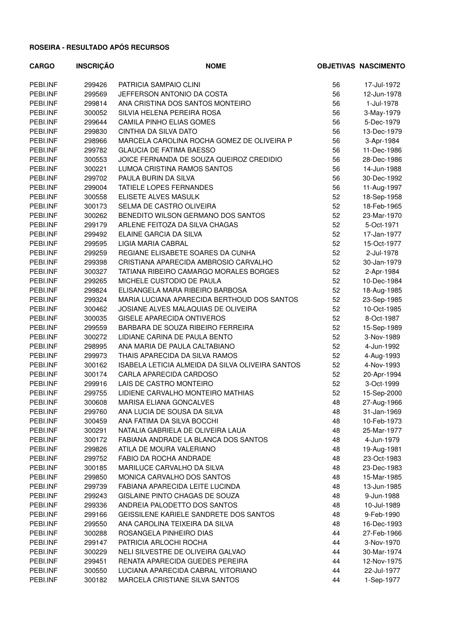| <b>CARGO</b> | <b>INSCRIÇÃO</b> | <b>NOME</b>                                      |    | <b>OBJETIVAS NASCIMENTO</b> |
|--------------|------------------|--------------------------------------------------|----|-----------------------------|
| PEBI.INF     | 299426           | PATRICIA SAMPAIO CLINI                           | 56 | 17-Jul-1972                 |
| PEBI.INF     | 299569           | JEFFERSON ANTONIO DA COSTA                       | 56 | 12-Jun-1978                 |
| PEBI.INF     | 299814           | ANA CRISTINA DOS SANTOS MONTEIRO                 | 56 | 1-Jul-1978                  |
| PEBI.INF     | 300052           | SILVIA HELENA PEREIRA ROSA                       | 56 | 3-May-1979                  |
| PEBI.INF     | 299644           | CAMILA PINHO ELIAS GOMES                         | 56 | 5-Dec-1979                  |
| PEBI.INF     | 299830           | CINTHIA DA SILVA DATO                            | 56 | 13-Dec-1979                 |
| PEBI.INF     | 298966           | MARCELA CAROLINA ROCHA GOMEZ DE OLIVEIRA P       | 56 | 3-Apr-1984                  |
| PEBI.INF     | 299782           | <b>GLAUCIA DE FATIMA BAESSO</b>                  | 56 | 11-Dec-1986                 |
| PEBI.INF     | 300553           | JOICE FERNANDA DE SOUZA QUEIROZ CREDIDIO         | 56 | 28-Dec-1986                 |
| PEBI.INF     | 300221           | LUMOA CRISTINA RAMOS SANTOS                      | 56 | 14-Jun-1988                 |
| PEBI.INF     | 299702           | PAULA BURIN DA SILVA                             | 56 | 30-Dec-1992                 |
| PEBI.INF     | 299004           | TATIELE LOPES FERNANDES                          | 56 | 11-Aug-1997                 |
| PEBI.INF     | 300558           | ELISETE ALVES MASULK                             | 52 | 18-Sep-1958                 |
| PEBI.INF     | 300173           | SELMA DE CASTRO OLIVEIRA                         | 52 | 18-Feb-1965                 |
| PEBI.INF     | 300262           | BENEDITO WILSON GERMANO DOS SANTOS               | 52 | 23-Mar-1970                 |
| PEBI.INF     | 299179           | ARLENE FEITOZA DA SILVA CHAGAS                   | 52 | 5-Oct-1971                  |
| PEBI.INF     | 299492           | ELAINE GARCIA DA SILVA                           | 52 | 17-Jan-1977                 |
| PEBI.INF     | 299595           | LIGIA MARIA CABRAL                               | 52 | 15-Oct-1977                 |
| PEBI.INF     | 299259           | REGIANE ELISABETE SOARES DA CUNHA                | 52 | 2-Jul-1978                  |
| PEBI.INF     | 299398           | CRISTIANA APARECIDA AMBROSIO CARVALHO            | 52 | 30-Jan-1979                 |
| PEBI.INF     | 300327           | TATIANA RIBEIRO CAMARGO MORALES BORGES           | 52 | 2-Apr-1984                  |
| PEBI.INF     | 299265           | MICHELE CUSTODIO DE PAULA                        | 52 | 10-Dec-1984                 |
| PEBI.INF     | 299824           | ELISANGELA MARA RIBEIRO BARBOSA                  | 52 | 18-Aug-1985                 |
| PEBI.INF     | 299324           | MARIA LUCIANA APARECIDA BERTHOUD DOS SANTOS      | 52 | 23-Sep-1985                 |
| PEBI.INF     | 300462           | JOSIANE ALVES MALAQUIAS DE OLIVEIRA              | 52 | 10-Oct-1985                 |
| PEBI.INF     | 300035           | <b>GISELE APARECIDA ONTIVEROS</b>                | 52 | 8-Oct-1987                  |
| PEBI.INF     | 299559           | BARBARA DE SOUZA RIBEIRO FERREIRA                | 52 | 15-Sep-1989                 |
| PEBI.INF     | 300272           | LIDIANE CARINA DE PAULA BENTO                    | 52 | 3-Nov-1989                  |
| PEBI.INF     | 298995           | ANA MARIA DE PAULA CALTABIANO                    | 52 | 4-Jun-1992                  |
| PEBI.INF     | 299973           | THAIS APARECIDA DA SILVA RAMOS                   | 52 | 4-Aug-1993                  |
| PEBI.INF     | 300162           | ISABELA LETICIA ALMEIDA DA SILVA OLIVEIRA SANTOS | 52 | 4-Nov-1993                  |
| PEBI.INF     | 300174           | CARLA APARECIDA CARDOSO                          | 52 | 20-Apr-1994                 |
| PEBI.INF     | 299916           | LAIS DE CASTRO MONTEIRO                          | 52 | 3-Oct-1999                  |
| PEBI.INF     | 299755           | LIDIENE CARVALHO MONTEIRO MATHIAS                | 52 | 15-Sep-2000                 |
| PEBI.INF     | 300608           | MARISA ELIANA GONCALVES                          | 48 | 27-Aug-1966                 |
| PEBI.INF     | 299760           | ANA LUCIA DE SOUSA DA SILVA                      | 48 | 31-Jan-1969                 |
| PEBI.INF     | 300459           | ANA FATIMA DA SILVA BOCCHI                       | 48 | 10-Feb-1973                 |
| PEBI.INF     | 300291           | NATALIA GABRIELA DE OLIVEIRA LAUA                | 48 | 25-Mar-1977                 |
| PEBI.INF     | 300172           | FABIANA ANDRADE LA BLANCA DOS SANTOS             | 48 | 4-Jun-1979                  |
| PEBI.INF     | 299826           | ATILA DE MOURA VALERIANO                         | 48 | 19-Aug-1981                 |
| PEBI.INF     | 299752           | FABIO DA ROCHA ANDRADE                           | 48 | 23-Oct-1983                 |
| PEBI.INF     | 300185           | MARILUCE CARVALHO DA SILVA                       | 48 | 23-Dec-1983                 |
| PEBI.INF     | 299850           | MONICA CARVALHO DOS SANTOS                       | 48 | 15-Mar-1985                 |
| PEBI.INF     | 299739           | FABIANA APARECIDA LEITE LUCINDA                  | 48 | 13-Jun-1985                 |
| PEBI.INF     | 299243           | GISLAINE PINTO CHAGAS DE SOUZA                   | 48 | 9-Jun-1988                  |
| PEBI.INF     | 299336           | ANDREIA PALODETTO DOS SANTOS                     | 48 | 10-Jul-1989                 |
| PEBI.INF     | 299166           | GEISSILENE KARIELE SANDRETE DOS SANTOS           | 48 | 9-Feb-1990                  |
| PEBI.INF     | 299550           | ANA CAROLINA TEIXEIRA DA SILVA                   | 48 | 16-Dec-1993                 |
| PEBI.INF     | 300288           | ROSANGELA PINHEIRO DIAS                          | 44 | 27-Feb-1966                 |
| PEBI.INF     | 299147           | PATRICIA ARLOCHI ROCHA                           | 44 | 3-Nov-1970                  |
| PEBI.INF     | 300229           | NELI SILVESTRE DE OLIVEIRA GALVAO                | 44 | 30-Mar-1974                 |
| PEBI.INF     | 299451           | RENATA APARECIDA GUEDES PEREIRA                  | 44 | 12-Nov-1975                 |
| PEBI.INF     | 300550           | LUCIANA APARECIDA CABRAL VITORIANO               | 44 | 22-Jul-1977                 |
| PEBI.INF     | 300182           | MARCELA CRISTIANE SILVA SANTOS                   | 44 | 1-Sep-1977                  |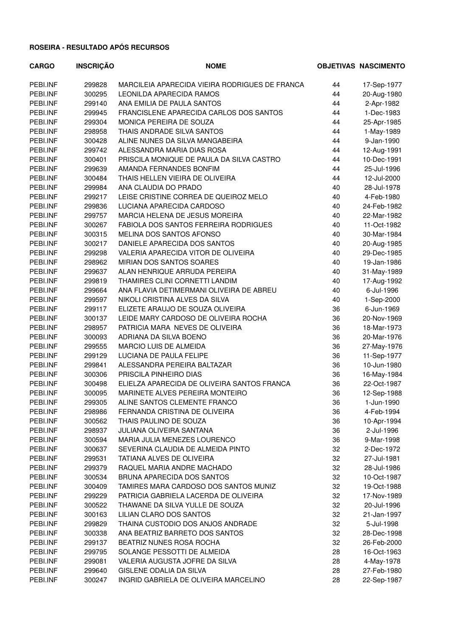| <b>CARGO</b> | <b>INSCRIÇÃO</b> | <b>NOME</b>                                    |    | <b>OBJETIVAS NASCIMENTO</b> |
|--------------|------------------|------------------------------------------------|----|-----------------------------|
| PEBI.INF     | 299828           | MARCILEIA APARECIDA VIEIRA RODRIGUES DE FRANCA | 44 | 17-Sep-1977                 |
| PEBI.INF     | 300295           | LEONILDA APARECIDA RAMOS                       | 44 | 20-Aug-1980                 |
| PEBI.INF     | 299140           | ANA EMILIA DE PAULA SANTOS                     | 44 | 2-Apr-1982                  |
| PEBI.INF     | 299945           | FRANCISLENE APARECIDA CARLOS DOS SANTOS        | 44 | 1-Dec-1983                  |
| PEBI.INF     | 299304           | MONICA PEREIRA DE SOUZA                        | 44 | 25-Apr-1985                 |
| PEBI.INF     | 298958           | THAIS ANDRADE SILVA SANTOS                     | 44 | 1-May-1989                  |
| PEBI.INF     | 300428           | ALINE NUNES DA SILVA MANGABEIRA                | 44 | 9-Jan-1990                  |
| PEBI.INF     | 299742           | ALESSANDRA MARIA DIAS ROSA                     | 44 | 12-Aug-1991                 |
| PEBI.INF     | 300401           | PRISCILA MONIQUE DE PAULA DA SILVA CASTRO      | 44 | 10-Dec-1991                 |
| PEBI.INF     | 299639           | AMANDA FERNANDES BONFIM                        | 44 | 25-Jul-1996                 |
| PEBI.INF     | 300484           | THAIS HELLEN VIEIRA DE OLIVEIRA                | 44 | 12-Jul-2000                 |
| PEBI.INF     | 299984           | ANA CLAUDIA DO PRADO                           | 40 | 28-Jul-1978                 |
| PEBI.INF     | 299217           | LEISE CRISTINE CORREA DE QUEIROZ MELO          | 40 | 4-Feb-1980                  |
| PEBI.INF     | 299836           | LUCIANA APARECIDA CARDOSO                      | 40 | 24-Feb-1982                 |
| PEBI.INF     | 299757           | MARCIA HELENA DE JESUS MOREIRA                 | 40 | 22-Mar-1982                 |
| PEBI.INF     | 300267           | FABIOLA DOS SANTOS FERREIRA RODRIGUES          | 40 | 11-Oct-1982                 |
| PEBI.INF     | 300315           | MELINA DOS SANTOS AFONSO                       | 40 | 30-Mar-1984                 |
| PEBI.INF     | 300217           | DANIELE APARECIDA DOS SANTOS                   | 40 | 20-Aug-1985                 |
| PEBI.INF     | 299298           | VALERIA APARECIDA VITOR DE OLIVEIRA            | 40 | 29-Dec-1985                 |
| PEBI.INF     | 298962           | MIRIAN DOS SANTOS SOARES                       | 40 | 19-Jan-1986                 |
| PEBI.INF     | 299637           | ALAN HENRIQUE ARRUDA PEREIRA                   | 40 | 31-May-1989                 |
| PEBI.INF     | 299819           | THAMIRES CLINI CORNETTI LANDIM                 | 40 | 17-Aug-1992                 |
| PEBI.INF     | 299664           | ANA FLAVIA DETIMERMANI OLIVEIRA DE ABREU       | 40 | 6-Jul-1996                  |
| PEBI.INF     | 299597           | NIKOLI CRISTINA ALVES DA SILVA                 | 40 | 1-Sep-2000                  |
| PEBI.INF     | 299117           | ELIZETE ARAUJO DE SOUZA OLIVEIRA               | 36 | 6-Jun-1969                  |
| PEBI.INF     | 300137           | LEIDE MARY CARDOSO DE OLIVEIRA ROCHA           | 36 | 20-Nov-1969                 |
| PEBI.INF     | 298957           | PATRICIA MARA NEVES DE OLIVEIRA                | 36 | 18-Mar-1973                 |
| PEBI.INF     | 300093           | ADRIANA DA SILVA BOENO                         | 36 | 20-Mar-1976                 |
| PEBI.INF     | 299555           | MARCIO LUIS DE ALMEIDA                         | 36 | 27-May-1976                 |
| PEBI.INF     | 299129           | LUCIANA DE PAULA FELIPE                        | 36 | 11-Sep-1977                 |
| PEBI.INF     | 299841           | ALESSANDRA PEREIRA BALTAZAR                    | 36 | 10-Jun-1980                 |
| PEBI.INF     | 300306           | PRISCILA PINHEIRO DIAS                         | 36 | 16-May-1984                 |
| PEBI.INF     | 300498           | ELIELZA APARECIDA DE OLIVEIRA SANTOS FRANCA    | 36 | 22-Oct-1987                 |
| PEBI.INF     | 300095           | MARINETE ALVES PEREIRA MONTEIRO                | 36 | 12-Sep-1988                 |
| PEBI.INF     | 299305           | ALINE SANTOS CLEMENTE FRANCO                   | 36 | 1-Jun-1990                  |
| PEBI.INF     | 298986           | FERNANDA CRISTINA DE OLIVEIRA                  | 36 | 4-Feb-1994                  |
| PEBI.INF     | 300562           | THAIS PAULINO DE SOUZA                         | 36 | 10-Apr-1994                 |
| PEBI.INF     | 298937           | JULIANA OLIVEIRA SANTANA                       | 36 | 2-Jul-1996                  |
| PEBI.INF     | 300594           | MARIA JULIA MENEZES LOURENCO                   | 36 | 9-Mar-1998                  |
| PEBI.INF     | 300637           | SEVERINA CLAUDIA DE ALMEIDA PINTO              | 32 | 2-Dec-1972                  |
| PEBI.INF     | 299531           | TATIANA ALVES DE OLIVEIRA                      | 32 | 27-Jul-1981                 |
| PEBI.INF     | 299379           | RAQUEL MARIA ANDRE MACHADO                     | 32 | 28-Jul-1986                 |
| PEBI.INF     | 300534           | <b>BRUNA APARECIDA DOS SANTOS</b>              | 32 | 10-Oct-1987                 |
| PEBI.INF     | 300409           | TAMIRES MARA CARDOSO DOS SANTOS MUNIZ          | 32 | 19-Oct-1988                 |
| PEBI.INF     | 299229           | PATRICIA GABRIELA LACERDA DE OLIVEIRA          | 32 | 17-Nov-1989                 |
| PEBI.INF     | 300522           | THAWANE DA SILVA YULLE DE SOUZA                | 32 | 20-Jul-1996                 |
| PEBI.INF     | 300163           | LILIAN CLARO DOS SANTOS                        | 32 | 21-Jan-1997                 |
| PEBI.INF     | 299829           | THAINA CUSTODIO DOS ANJOS ANDRADE              | 32 | 5-Jul-1998                  |
| PEBI.INF     | 300338           | ANA BEATRIZ BARRETO DOS SANTOS                 | 32 | 28-Dec-1998                 |
| PEBI.INF     | 299137           | BEATRIZ NUNES ROSA ROCHA                       | 32 | 26-Feb-2000                 |
| PEBI.INF     | 299795           | SOLANGE PESSOTTI DE ALMEIDA                    | 28 | 16-Oct-1963                 |
| PEBI.INF     | 299081           | VALERIA AUGUSTA JOFRE DA SILVA                 | 28 | 4-May-1978                  |
| PEBI.INF     | 299640           | GISLENE ODALIA DA SILVA                        | 28 | 27-Feb-1980                 |
| PEBI.INF     | 300247           | INGRID GABRIELA DE OLIVEIRA MARCELINO          | 28 | 22-Sep-1987                 |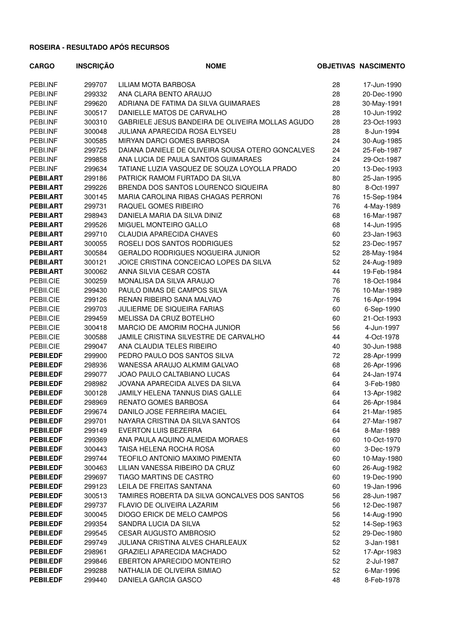| <b>CARGO</b>     | <b>INSCRIÇÃO</b> | <b>NOME</b>                                      |    | <b>OBJETIVAS NASCIMENTO</b> |
|------------------|------------------|--------------------------------------------------|----|-----------------------------|
| PEBI.INF         | 299707           | LILIAM MOTA BARBOSA                              | 28 | 17-Jun-1990                 |
| PEBI.INF         | 299332           | ANA CLARA BENTO ARAUJO                           | 28 | 20-Dec-1990                 |
| PEBI.INF         | 299620           | ADRIANA DE FATIMA DA SILVA GUIMARAES             | 28 | 30-May-1991                 |
| PEBI.INF         | 300517           | DANIELLE MATOS DE CARVALHO                       | 28 | 10-Jun-1992                 |
| PEBI.INF         | 300310           | GABRIELE JESUS BANDEIRA DE OLIVEIRA MOLLAS AGUDO | 28 | 23-Oct-1993                 |
| PEBI.INF         | 300048           | <b>JULIANA APARECIDA ROSA ELYSEU</b>             | 28 | 8-Jun-1994                  |
| PEBI.INF         | 300585           | MIRYAN DARCI GOMES BARBOSA                       | 24 | 30-Aug-1985                 |
| PEBI.INF         | 299725           | DAIANA DANIELE DE OLIVEIRA SOUSA OTERO GONCALVES | 24 | 25-Feb-1987                 |
| PEBI.INF         | 299858           | ANA LUCIA DE PAULA SANTOS GUIMARAES              | 24 | 29-Oct-1987                 |
| PEBI.INF         | 299634           | TATIANE LUZIA VASQUEZ DE SOUZA LOYOLLA PRADO     | 20 | 13-Dec-1993                 |
| <b>PEBILART</b>  | 299186           | PATRICK RAMOM FURTADO DA SILVA                   | 80 | 25-Jan-1995                 |
| <b>PEBII.ART</b> | 299226           | BRENDA DOS SANTOS LOURENCO SIQUEIRA              | 80 | 8-Oct-1997                  |
| PEBII.ART        | 300145           | MARIA CAROLINA RIBAS CHAGAS PERRONI              | 76 | 15-Sep-1984                 |
| <b>PEBII.ART</b> | 299731           | RAQUEL GOMES RIBEIRO                             | 76 | 4-May-1989                  |
| <b>PEBILART</b>  | 298943           | DANIELA MARIA DA SILVA DINIZ                     | 68 | 16-Mar-1987                 |
| <b>PEBII.ART</b> | 299526           | MIGUEL MONTEIRO GALLO                            | 68 | 14-Jun-1995                 |
| <b>PEBII.ART</b> | 299710           | CLAUDIA APARECIDA CHAVES                         | 60 | 23-Jan-1963                 |
| <b>PEBILART</b>  | 300055           | ROSELI DOS SANTOS RODRIGUES                      | 52 | 23-Dec-1957                 |
| <b>PEBII.ART</b> | 300584           | <b>GERALDO RODRIGUES NOGUEIRA JUNIOR</b>         | 52 | 28-May-1984                 |
| <b>PEBILART</b>  | 300121           | JOICE CRISTINA CONCEICAO LOPES DA SILVA          | 52 | 24-Aug-1989                 |
| <b>PEBII.ART</b> | 300062           | ANNA SILVIA CESAR COSTA                          | 44 | 19-Feb-1984                 |
| PEBII.CIE        | 300259           | MONALISA DA SILVA ARAUJO                         | 76 | 18-Oct-1984                 |
| PEBII.CIE        | 299430           | PAULO DIMAS DE CAMPOS SILVA                      | 76 | 10-Mar-1989                 |
| PEBII.CIE        | 299126           | RENAN RIBEIRO SANA MALVAO                        | 76 | 16-Apr-1994                 |
| PEBII.CIE        | 299703           | JULIERME DE SIQUEIRA FARIAS                      | 60 | 6-Sep-1990                  |
| PEBII.CIE        | 299459           | MELISSA DA CRUZ BOTELHO                          | 60 | 21-Oct-1993                 |
| PEBII.CIE        | 300418           | MARCIO DE AMORIM ROCHA JUNIOR                    | 56 | 4-Jun-1997                  |
| PEBII.CIE        | 300588           | JAMILE CRISTINA SILVESTRE DE CARVALHO            | 44 | 4-Oct-1978                  |
| PEBII.CIE        | 299047           | ANA CLAUDIA TELES RIBEIRO                        | 40 | 30-Jun-1988                 |
| PEBII.EDF        | 299900           | PEDRO PAULO DOS SANTOS SILVA                     | 72 | 28-Apr-1999                 |
| <b>PEBILEDF</b>  | 298936           | WANESSA ARAUJO ALKMIM GALVAO                     | 68 | 26-Apr-1996                 |
| <b>PEBILEDF</b>  | 299077           | JOAO PAULO CALTABIANO LUCAS                      | 64 | 24-Jan-1974                 |
| <b>PEBILEDF</b>  | 298982           | JOVANA APARECIDA ALVES DA SILVA                  | 64 | 3-Feb-1980                  |
| <b>PEBILEDF</b>  | 300128           | JAMILY HELENA TANNUS DIAS GALLE                  | 64 | 13-Apr-1982                 |
| <b>PEBILEDF</b>  | 298969           | RENATO GOMES BARBOSA                             | 64 | 26-Apr-1984                 |
| <b>PEBILEDF</b>  | 299674           | DANILO JOSE FERREIRA MACIEL                      | 64 | 21-Mar-1985                 |
| <b>PEBILEDF</b>  | 299701           | NAYARA CRISTINA DA SILVA SANTOS                  | 64 | 27-Mar-1987                 |
| <b>PEBILEDF</b>  | 299149           | <b>EVERTON LUIS BEZERRA</b>                      | 64 | 8-Mar-1989                  |
| <b>PEBILEDF</b>  | 299369           | ANA PAULA AQUINO ALMEIDA MORAES                  | 60 | 10-Oct-1970                 |
| <b>PEBILEDF</b>  | 300443           | TAISA HELENA ROCHA ROSA                          | 60 | 3-Dec-1979                  |
| <b>PEBILEDF</b>  | 299744           | TEOFILO ANTONIO MAXIMO PIMENTA                   | 60 | 10-May-1980                 |
| <b>PEBILEDF</b>  | 300463           | LILIAN VANESSA RIBEIRO DA CRUZ                   | 60 | 26-Aug-1982                 |
| <b>PEBILEDF</b>  | 299697           | TIAGO MARTINS DE CASTRO                          | 60 | 19-Dec-1990                 |
| <b>PEBILEDF</b>  | 299123           | LEILA DE FREITAS SANTANA                         | 60 | 19-Jan-1996                 |
| <b>PEBILEDF</b>  | 300513           | TAMIRES ROBERTA DA SILVA GONCALVES DOS SANTOS    | 56 | 28-Jun-1987                 |
| <b>PEBILEDF</b>  | 299737           | FLAVIO DE OLIVEIRA LAZARIM                       | 56 | 12-Dec-1987                 |
| <b>PEBILEDF</b>  | 300045           | DIOGO ERICK DE MELO CAMPOS                       | 56 | 14-Aug-1990                 |
| <b>PEBILEDF</b>  | 299354           | SANDRA LUCIA DA SILVA                            | 52 | 14-Sep-1963                 |
| <b>PEBILEDF</b>  | 299545           | <b>CESAR AUGUSTO AMBROSIO</b>                    | 52 | 29-Dec-1980                 |
| <b>PEBILEDF</b>  | 299749           | JULIANA CRISTINA ALVES CHARLEAUX                 | 52 | 3-Jan-1981                  |
| <b>PEBILEDF</b>  | 298961           | <b>GRAZIELI APARECIDA MACHADO</b>                | 52 | 17-Apr-1983                 |
| <b>PEBILEDF</b>  | 299846           | EBERTON APARECIDO MONTEIRO                       | 52 | 2-Jul-1987                  |
| <b>PEBILEDF</b>  | 299288           | NATHALIA DE OLIVEIRA SIMIAO                      | 52 | 6-Mar-1996                  |
| <b>PEBILEDF</b>  | 299440           | DANIELA GARCIA GASCO                             | 48 | 8-Feb-1978                  |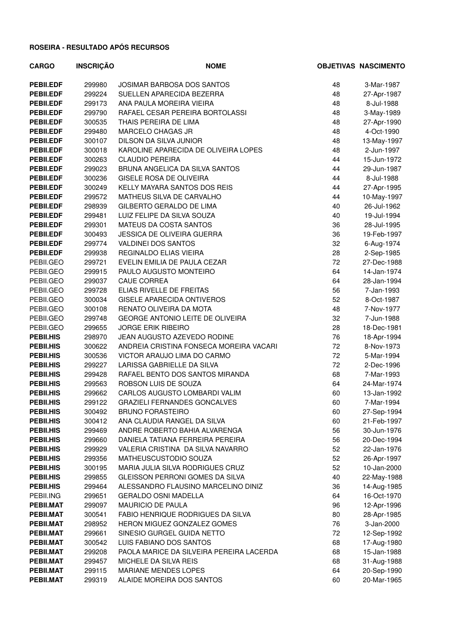| <b>CARGO</b>     | <b>INSCRIÇÃO</b> | <b>NOME</b>                              |    | <b>OBJETIVAS NASCIMENTO</b> |
|------------------|------------------|------------------------------------------|----|-----------------------------|
| <b>PEBILEDF</b>  | 299980           | <b>JOSIMAR BARBOSA DOS SANTOS</b>        | 48 | 3-Mar-1987                  |
| <b>PEBILEDF</b>  | 299224           | SUELLEN APARECIDA BEZERRA                | 48 | 27-Apr-1987                 |
| <b>PEBILEDF</b>  | 299173           | ANA PAULA MOREIRA VIEIRA                 | 48 | 8-Jul-1988                  |
| <b>PEBILEDF</b>  | 299790           | RAFAEL CESAR PEREIRA BORTOLASSI          | 48 | 3-May-1989                  |
| <b>PEBILEDF</b>  | 300535           | THAIS PEREIRA DE LIMA                    | 48 | 27-Apr-1990                 |
| <b>PEBILEDF</b>  | 299480           | MARCELO CHAGAS JR                        | 48 | 4-Oct-1990                  |
| <b>PEBILEDF</b>  | 300107           | DILSON DA SILVA JUNIOR                   | 48 | 13-May-1997                 |
| <b>PEBILEDF</b>  | 300018           | KAROLINE APARECIDA DE OLIVEIRA LOPES     | 48 | 2-Jun-1997                  |
| <b>PEBILEDF</b>  | 300263           | <b>CLAUDIO PEREIRA</b>                   | 44 | 15-Jun-1972                 |
| PEBII.EDF        | 299023           | BRUNA ANGELICA DA SILVA SANTOS           | 44 | 29-Jun-1987                 |
| <b>PEBILEDF</b>  | 300236           | <b>GISELE ROSA DE OLIVEIRA</b>           | 44 | 8-Jul-1988                  |
| <b>PEBILEDF</b>  | 300249           | KELLY MAYARA SANTOS DOS REIS             | 44 | 27-Apr-1995                 |
| <b>PEBILEDF</b>  | 299572           | MATHEUS SILVA DE CARVALHO                | 44 | 10-May-1997                 |
| <b>PEBILEDF</b>  | 298939           | GILBERTO GERALDO DE LIMA                 | 40 | 26-Jul-1962                 |
| <b>PEBILEDF</b>  | 299481           | LUIZ FELIPE DA SILVA SOUZA               | 40 | 19-Jul-1994                 |
| <b>PEBILEDF</b>  | 299301           | MATEUS DA COSTA SANTOS                   | 36 | 28-Jul-1995                 |
| <b>PEBILEDF</b>  | 300493           | <b>JESSICA DE OLIVEIRA GUERRA</b>        | 36 | 19-Feb-1997                 |
| <b>PEBILEDF</b>  | 299774           | VALDINEI DOS SANTOS                      | 32 | 6-Aug-1974                  |
| PEBII.EDF        | 299938           | REGINALDO ELIAS VIEIRA                   | 28 | 2-Sep-1985                  |
| PEBII.GEO        | 299721           | EVELIN EMILIA DE PAULA CEZAR             | 72 | 27-Dec-1988                 |
| PEBII.GEO        | 299915           | PAULO AUGUSTO MONTEIRO                   | 64 | 14-Jan-1974                 |
| PEBII.GEO        | 299037           | <b>CAUE CORREA</b>                       | 64 | 28-Jan-1994                 |
| PEBII.GEO        | 299728           | ELIAS RIVELLE DE FREITAS                 | 56 | 7-Jan-1993                  |
| PEBII.GEO        | 300034           | <b>GISELE APARECIDA ONTIVEROS</b>        | 52 | 8-Oct-1987                  |
| PEBII.GEO        | 300108           | RENATO OLIVEIRA DA MOTA                  | 48 | 7-Nov-1977                  |
| PEBII.GEO        | 299748           | GEORGE ANTONIO LEITE DE OLIVEIRA         | 32 | 7-Jun-1988                  |
| PEBII.GEO        | 299655           | <b>JORGE ERIK RIBEIRO</b>                | 28 | 18-Dec-1981                 |
| PEBII.HIS        | 298970           | JEAN AUGUSTO AZEVEDO RODINE              | 76 | 18-Apr-1994                 |
| <b>PEBILHIS</b>  | 300622           | ANDREIA CRISTINA FONSECA MOREIRA VACARI  | 72 | 8-Nov-1973                  |
| <b>PEBILHIS</b>  | 300536           | VICTOR ARAUJO LIMA DO CARMO              | 72 | 5-Mar-1994                  |
| <b>PEBILHIS</b>  | 299227           | LARISSA GABRIELLE DA SILVA               | 72 | 2-Dec-1996                  |
| <b>PEBILHIS</b>  | 299428           | RAFAEL BENTO DOS SANTOS MIRANDA          | 68 | 7-Mar-1993                  |
| <b>PEBILHIS</b>  | 299563           | ROBSON LUIS DE SOUZA                     | 64 | 24-Mar-1974                 |
| <b>PEBILHIS</b>  | 299662           | CARLOS AUGUSTO LOMBARDI VALIM            | 60 | 13-Jan-1992                 |
| <b>PEBII.HIS</b> | 299122           | <b>GRAZIELI FERNANDES GONCALVES</b>      | 60 | 7-Mar-1994                  |
| <b>PEBILHIS</b>  | 300492           | <b>BRUNO FORASTEIRO</b>                  | 60 | 27-Sep-1994                 |
| <b>PEBILHIS</b>  | 300412           | ANA CLAUDIA RANGEL DA SILVA              | 60 | 21-Feb-1997                 |
| <b>PEBILHIS</b>  | 299469           | ANDRE ROBERTO BAHIA ALVARENGA            | 56 | 30-Jun-1976                 |
| <b>PEBILHIS</b>  | 299660           | DANIELA TATIANA FERREIRA PEREIRA         | 56 | 20-Dec-1994                 |
| <b>PEBILHIS</b>  | 299929           | VALERIA CRISTINA DA SILVA NAVARRO        | 52 | 22-Jan-1976                 |
| <b>PEBILHIS</b>  | 299356           | MATHEUSCUSTODIO SOUZA                    | 52 | 26-Apr-1997                 |
| <b>PEBILHIS</b>  | 300195           | MARIA JULIA SILVA RODRIGUES CRUZ         | 52 | 10-Jan-2000                 |
| <b>PEBILHIS</b>  | 299855           | GLEISSON PERRONI GOMES DA SILVA          | 40 | 22-May-1988                 |
| <b>PEBILHIS</b>  | 299464           | ALESSANDRO FLAUSINO MARCELINO DINIZ      | 36 | 14-Aug-1985                 |
| PEBII.ING        | 299651           | <b>GERALDO OSNI MADELLA</b>              | 64 | 16-Oct-1970                 |
| <b>PEBII.MAT</b> | 299097           | <b>MAURICIO DE PAULA</b>                 | 96 | 12-Apr-1996                 |
| <b>PEBII.MAT</b> | 300541           | FABIO HENRIQUE RODRIGUES DA SILVA        | 80 | 28-Apr-1985                 |
| <b>PEBII.MAT</b> | 298952           | <b>HERON MIGUEZ GONZALEZ GOMES</b>       | 76 | 3-Jan-2000                  |
| <b>PEBII.MAT</b> | 299661           | SINESIO GURGEL GUIDA NETTO               | 72 | 12-Sep-1992                 |
| <b>PEBII.MAT</b> | 300542           | LUIS FABIANO DOS SANTOS                  | 68 | 17-Aug-1980                 |
| <b>PEBII.MAT</b> | 299208           | PAOLA MARICE DA SILVEIRA PEREIRA LACERDA | 68 | 15-Jan-1988                 |
| <b>PEBII.MAT</b> | 299457           | MICHELE DA SILVA REIS                    | 68 | 31-Aug-1988                 |
| PEBII.MAT        | 299115           | MARIANE MENDES LOPES                     | 64 | 20-Sep-1990                 |
| <b>PEBII.MAT</b> | 299319           | ALAIDE MOREIRA DOS SANTOS                | 60 | 20-Mar-1965                 |